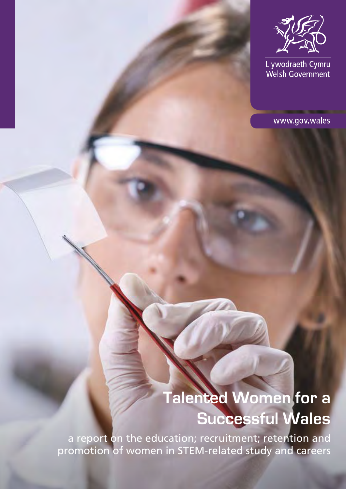

Llywodraeth Cymru<br>Welsh Government

www.gov.wales

# **Talented Women for a Successful Wales**

a report on the education; recruitment; retention and promotion of women in STEM-related study and careers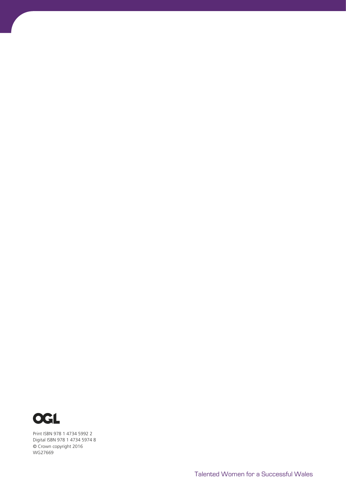

Print ISBN 978 1 4734 5992 2 Digital ISBN 978 1 4734 5974 8 © Crown copyright 2016 WG27669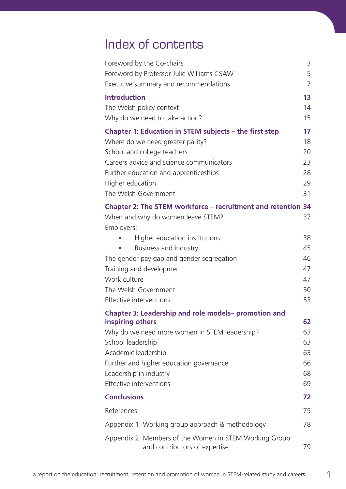## Index of contents

| Foreword by the Co-chairs<br>Foreword by Professor Julie Williams CSAW                                                                                                                                                                                     | 3<br>5                                 |
|------------------------------------------------------------------------------------------------------------------------------------------------------------------------------------------------------------------------------------------------------------|----------------------------------------|
| Executive summary and recommendations<br><b>Introduction</b><br>The Welsh policy context<br>Why do we need to take action?                                                                                                                                 | 7<br>13<br>14<br>15                    |
| Chapter 1: Education in STEM subjects – the first step<br>Where do we need greater parity?<br>School and college teachers<br>Careers advice and science communicators<br>Further education and apprenticeships<br>Higher education<br>The Welsh Government | 17<br>18<br>20<br>23<br>28<br>29<br>31 |
| Chapter 2: The STEM workforce - recruitment and retention 34<br>When and why do women leave STEM?<br>Employers:                                                                                                                                            | 37                                     |
| Higher education institutions                                                                                                                                                                                                                              | 38                                     |
| Business and industry                                                                                                                                                                                                                                      | 45<br>46                               |
| The gender pay gap and gender segregation<br>Training and development                                                                                                                                                                                      | 47                                     |
| Work culture                                                                                                                                                                                                                                               | 47                                     |
| The Welsh Government                                                                                                                                                                                                                                       | 50                                     |
| Effective interventions                                                                                                                                                                                                                                    | 53                                     |
| Chapter 3: Leadership and role models- promotion and                                                                                                                                                                                                       |                                        |
| inspiring others                                                                                                                                                                                                                                           | 62                                     |
| Why do we need more women in STEM leadership?                                                                                                                                                                                                              | 63                                     |
| School leadership                                                                                                                                                                                                                                          | 63                                     |
| Academic leadership                                                                                                                                                                                                                                        | 63                                     |
| Further and higher education governance<br>Leadership in industry                                                                                                                                                                                          | 66<br>68                               |
| Effective interventions                                                                                                                                                                                                                                    | 69                                     |
| <b>Conclusions</b>                                                                                                                                                                                                                                         | 72                                     |
| References                                                                                                                                                                                                                                                 | 75                                     |
| Appendix 1: Working group approach & methodology                                                                                                                                                                                                           | 78                                     |
| Appendix 2: Members of the Women in STEM Working Group<br>and contributors of expertise                                                                                                                                                                    | 79                                     |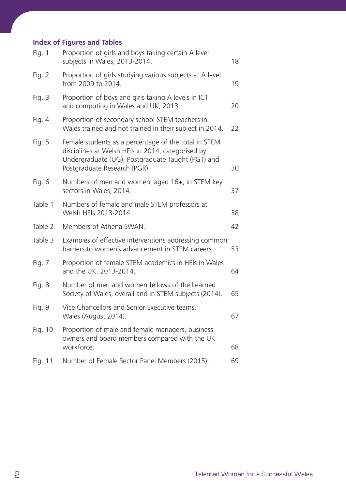### **Index of Figures and Tables**

| Fig. 1   | Proportion of girls and boys taking certain A level<br>subjects in Wales, 2013-2014.                                                                                                           | 18 |
|----------|------------------------------------------------------------------------------------------------------------------------------------------------------------------------------------------------|----|
| Fig. $2$ | Proportion of girls studying various subjects at A level<br>from 2009 to 2014.                                                                                                                 | 19 |
| Fig. 3   | Proportion of boys and girls taking A levels in ICT<br>and computing in Wales and UK, 2013.                                                                                                    | 20 |
| Fig. $4$ | Proportion of secondary school STEM teachers in<br>Wales trained and not trained in their subject in 2014.                                                                                     | 22 |
| Fig. 5   | Female students as a percentage of the total in STEM<br>disciplines at Welsh HEIs in 2014, categorised by<br>Undergraduate (UG), Postgraduate Taught (PGT) and<br>Postgraduate Research (PGR). | 30 |
| Fig. 6   | Numbers of men and women, aged 16+, in STEM key<br>sectors in Wales, 2014.                                                                                                                     | 37 |
| Table 1  | Numbers of female and male STEM professors at<br>Welsh HEIs 2013-2014.                                                                                                                         | 38 |
| Table 2  | Members of Athena SWAN.                                                                                                                                                                        | 42 |
| Table 3  | Examples of effective interventions addressing common<br>barriers to women's advancement in STEM careers.                                                                                      | 53 |
| Fig. 7   | Proportion of female STEM academics in HEIs in Wales<br>and the UK, 2013-2014.                                                                                                                 | 64 |
| Fig. 8   | Number of men and women fellows of the Learned<br>Society of Wales, overall and in STEM subjects (2014).                                                                                       | 65 |
| Fig. 9   | Vice Chancellors and Senior Executive teams,<br>Wales (August 2014).                                                                                                                           | 67 |
| Fig. 10  | Proportion of male and female managers, business<br>owners and board members compared with the UK<br>workforce.                                                                                | 68 |
| Fig. 11  | Number of Female Sector Panel Members (2015).                                                                                                                                                  | 69 |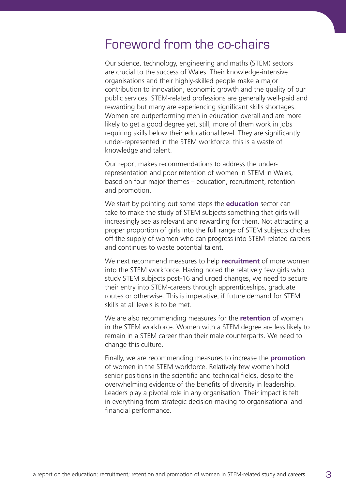## Foreword from the co-chairs

Our science, technology, engineering and maths (STEM) sectors are crucial to the success of Wales. Their knowledge-intensive organisations and their highly-skilled people make a major contribution to innovation, economic growth and the quality of our public services. STEM-related professions are generally well-paid and rewarding but many are experiencing significant skills shortages. Women are outperforming men in education overall and are more likely to get a good degree yet, still, more of them work in jobs requiring skills below their educational level. They are significantly under-represented in the STEM workforce: this is a waste of knowledge and talent.

Our report makes recommendations to address the underrepresentation and poor retention of women in STEM in Wales, based on four major themes – education, recruitment, retention and promotion.

We start by pointing out some steps the **education** sector can take to make the study of STEM subjects something that girls will increasingly see as relevant and rewarding for them. Not attracting a proper proportion of girls into the full range of STEM subjects chokes off the supply of women who can progress into STEM-related careers and continues to waste potential talent.

We next recommend measures to help **recruitment** of more women into the STEM workforce. Having noted the relatively few girls who study STEM subjects post-16 and urged changes, we need to secure their entry into STEM-careers through apprenticeships, graduate routes or otherwise. This is imperative, if future demand for STEM skills at all levels is to be met.

We are also recommending measures for the **retention** of women in the STEM workforce. Women with a STEM degree are less likely to remain in a STEM career than their male counterparts. We need to change this culture.

Finally, we are recommending measures to increase the **promotion** of women in the STEM workforce. Relatively few women hold senior positions in the scientific and technical fields, despite the overwhelming evidence of the benefits of diversity in leadership. Leaders play a pivotal role in any organisation. Their impact is felt in everything from strategic decision-making to organisational and financial performance.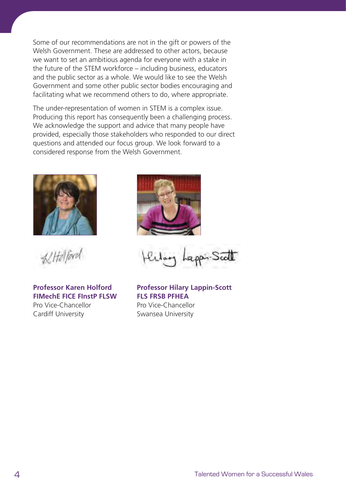Some of our recommendations are not in the gift or powers of the Welsh Government. These are addressed to other actors, because we want to set an ambitious agenda for everyone with a stake in the future of the STEM workforce – including business, educators and the public sector as a whole. We would like to see the Welsh Government and some other public sector bodies encouraging and facilitating what we recommend others to do, where appropriate.

The under-representation of women in STEM is a complex issue. Producing this report has consequently been a challenging process. We acknowledge the support and advice that many people have provided, especially those stakeholders who responded to our direct questions and attended our focus group. We look forward to a considered response from the Welsh Government.



 $42$ Halfard

**Professor Karen Holford FIMechE FICE FInstP FLSW** Pro Vice-Chancellor Cardiff University



**Professor Hilary Lappin-Scott FLS FRSB PFHEA** Pro Vice-Chancellor Swansea University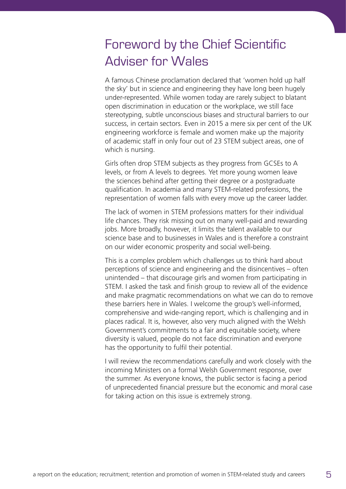# Foreword by the Chief Scientific Adviser for Wales

A famous Chinese proclamation declared that 'women hold up half the sky' but in science and engineering they have long been hugely under-represented. While women today are rarely subject to blatant open discrimination in education or the workplace, we still face stereotyping, subtle unconscious biases and structural barriers to our success, in certain sectors. Even in 2015 a mere six per cent of the UK engineering workforce is female and women make up the majority of academic staff in only four out of 23 STEM subject areas, one of which is nursing.

Girls often drop STEM subjects as they progress from GCSEs to A levels, or from A levels to degrees. Yet more young women leave the sciences behind after getting their degree or a postgraduate qualification. In academia and many STEM-related professions, the representation of women falls with every move up the career ladder.

The lack of women in STEM professions matters for their individual life chances. They risk missing out on many well-paid and rewarding jobs. More broadly, however, it limits the talent available to our science base and to businesses in Wales and is therefore a constraint on our wider economic prosperity and social well-being.

This is a complex problem which challenges us to think hard about perceptions of science and engineering and the disincentives – often unintended – that discourage girls and women from participating in STEM. I asked the task and finish group to review all of the evidence and make pragmatic recommendations on what we can do to remove these barriers here in Wales. I welcome the group's well-informed, comprehensive and wide-ranging report, which is challenging and in places radical. It is, however, also very much aligned with the Welsh Government's commitments to a fair and equitable society, where diversity is valued, people do not face discrimination and everyone has the opportunity to fulfil their potential.

I will review the recommendations carefully and work closely with the incoming Ministers on a formal Welsh Government response, over the summer. As everyone knows, the public sector is facing a period of unprecedented financial pressure but the economic and moral case for taking action on this issue is extremely strong.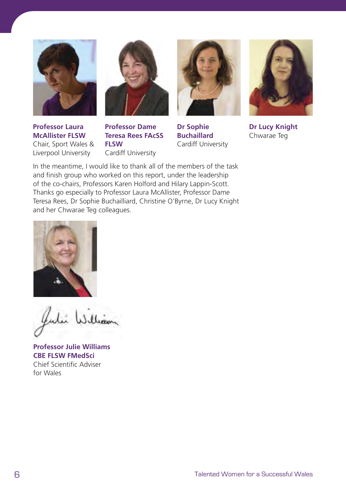





**Professor Laura McAllister FLSW**  Chair, Sport Wales & Liverpool University

**Professor Dame Teresa Rees FAcSS FLSW**  Cardiff University

**Dr Sophie Buchaillard** Cardiff University



**Dr Lucy Knight** Chwarae Teg

In the meantime, I would like to thank all of the members of the task and finish group who worked on this report, under the leadership of the co-chairs, Professors Karen Holford and Hilary Lappin-Scott. Thanks go especially to Professor Laura McAllister, Professor Dame Teresa Rees, Dr Sophie Buchailliard, Christine O'Byrne, Dr Lucy Knight and her Chwarae Teg colleagues.



ului William

**Professor Julie Williams CBE FLSW FMedSci** Chief Scientific Adviser for Wales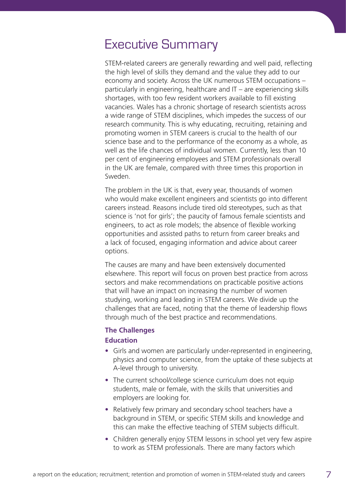## Executive Summary

STEM-related careers are generally rewarding and well paid, reflecting the high level of skills they demand and the value they add to our economy and society. Across the UK numerous STEM occupations – particularly in engineering, healthcare and IT – are experiencing skills shortages, with too few resident workers available to fill existing vacancies. Wales has a chronic shortage of research scientists across a wide range of STEM disciplines, which impedes the success of our research community. This is why educating, recruiting, retaining and promoting women in STEM careers is crucial to the health of our science base and to the performance of the economy as a whole, as well as the life chances of individual women. Currently, less than 10 per cent of engineering employees and STEM professionals overall in the UK are female, compared with three times this proportion in Sweden.

The problem in the UK is that, every year, thousands of women who would make excellent engineers and scientists go into different careers instead. Reasons include tired old stereotypes, such as that science is 'not for girls'; the paucity of famous female scientists and engineers, to act as role models; the absence of flexible working opportunities and assisted paths to return from career breaks and a lack of focused, engaging information and advice about career options.

The causes are many and have been extensively documented elsewhere. This report will focus on proven best practice from across sectors and make recommendations on practicable positive actions that will have an impact on increasing the number of women studying, working and leading in STEM careers. We divide up the challenges that are faced, noting that the theme of leadership flows through much of the best practice and recommendations.

### **The Challenges Education**

- **•** Girls and women are particularly under-represented in engineering, physics and computer science, from the uptake of these subjects at A-level through to university.
- **•** The current school/college science curriculum does not equip students, male or female, with the skills that universities and employers are looking for.
- **•** Relatively few primary and secondary school teachers have a background in STEM, or specific STEM skills and knowledge and this can make the effective teaching of STEM subjects difficult.
- **•** Children generally enjoy STEM lessons in school yet very few aspire to work as STEM professionals. There are many factors which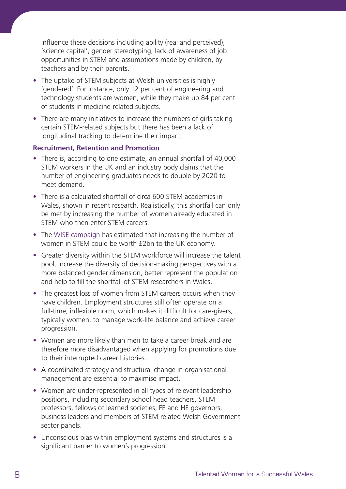influence these decisions including ability (real and perceived), 'science capital', gender stereotyping, lack of awareness of job opportunities in STEM and assumptions made by children, by teachers and by their parents.

- **•** The uptake of STEM subjects at Welsh universities is highly 'gendered': For instance, only 12 per cent of engineering and technology students are women, while they make up 84 per cent of students in medicine-related subjects.
- **•** There are many initiatives to increase the numbers of girls taking certain STEM-related subjects but there has been a lack of longitudinal tracking to determine their impact.

### **Recruitment, Retention and Promotion**

- **•** There is, according to one estimate, an annual shortfall of 40,000 STEM workers in the UK and an industry body claims that the number of engineering graduates needs to double by 2020 to meet demand.
- **•** There is a calculated shortfall of circa 600 STEM academics in Wales, shown in recent research. Realistically, this shortfall can only be met by increasing the number of women already educated in STEM who then enter STEM careers.
- **•** The [WISE campaign](https://www.wisecampaign.org.uk/resources/tag/statistics) has estimated that increasing the number of women in STEM could be worth £2bn to the UK economy.
- **•** Greater diversity within the STEM workforce will increase the talent pool, increase the diversity of decision-making perspectives with a more balanced gender dimension, better represent the population and help to fill the shortfall of STEM researchers in Wales.
- **•** The greatest loss of women from STEM careers occurs when they have children. Employment structures still often operate on a full-time, inflexible norm, which makes it difficult for care-givers, typically women, to manage work-life balance and achieve career progression.
- **•** Women are more likely than men to take a career break and are therefore more disadvantaged when applying for promotions due to their interrupted career histories.
- **•** A coordinated strategy and structural change in organisational management are essential to maximise impact.
- **•** Women are under-represented in all types of relevant leadership positions, including secondary school head teachers, STEM professors, fellows of learned societies, FE and HE governors, business leaders and members of STEM-related Welsh Government sector panels.
- **•** Unconscious bias within employment systems and structures is a significant barrier to women's progression.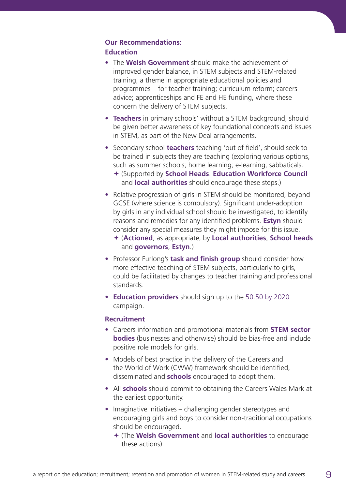### **Our Recommendations: Education**

- **•** The **Welsh Government** should make the achievement of improved gender balance, in STEM subjects and STEM-related training, a theme in appropriate educational policies and programmes – for teacher training; curriculum reform; careers advice; apprenticeships and FE and HE funding, where these concern the delivery of STEM subjects.
- **• Teachers** in primary schools' without a STEM background, should be given better awareness of key foundational concepts and issues in STEM, as part of the New Deal arrangements.
- **•** Secondary school **teachers** teaching 'out of field', should seek to be trained in subjects they are teaching (exploring various options, such as summer schools; home learning; e-learning; sabbaticals.
	- ª (Supported by **School Heads**. **Education Workforce Council** and **local authorities** should encourage these steps.)
- Relative progression of girls in STEM should be monitored, beyond GCSE (where science is compulsory). Significant under-adoption by girls in any individual school should be investigated, to identify reasons and remedies for any identified problems. **Estyn** should consider any special measures they might impose for this issue.
	- ª (**Actioned**, as appropriate, by **Local authorities**, **School heads** and **governors**, **Estyn**.)
- **•** Professor Furlong's **task and finish group** should consider how more effective teaching of STEM subjects, particularly to girls, could be facilitated by changes to teacher training and professional standards.
- **• Education providers** should sign up to the [50:50 by 2020](http://5050by2020.org.uk/) campaign.

### **Recruitment**

- **•** Careers information and promotional materials from **STEM sector bodies** (businesses and otherwise) should be bias-free and include positive role models for girls.
- **•** Models of best practice in the delivery of the Careers and the World of Work (CWW) framework should be identified, disseminated and **schools** encouraged to adopt them.
- **•** All **schools** should commit to obtaining the Careers Wales Mark at the earliest opportunity.
- **•** Imaginative initiatives challenging gender stereotypes and encouraging girls and boys to consider non-traditional occupations should be encouraged.
	- ª (The **Welsh Government** and **local authorities** to encourage these actions).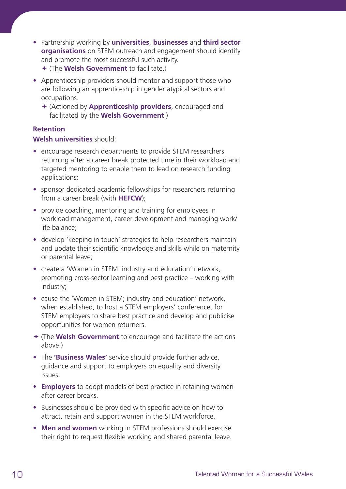- **•** Partnership working by **universities**, **businesses** and **third sector organisations** on STEM outreach and engagement should identify and promote the most successful such activity. ª (The **Welsh Government** to facilitate.)
- **•** Apprenticeship providers should mentor and support those who are following an apprenticeship in gender atypical sectors and occupations.
	- ª (Actioned by **Apprenticeship providers**, encouraged and facilitated by the **Welsh Government**.)

### **Retention**

### **Welsh universities** should:

- **•** encourage research departments to provide STEM researchers returning after a career break protected time in their workload and targeted mentoring to enable them to lead on research funding applications;
- **•** sponsor dedicated academic fellowships for researchers returning from a career break (with **HEFCW**);
- **•** provide coaching, mentoring and training for employees in workload management, career development and managing work/ life balance;
- **•** develop 'keeping in touch' strategies to help researchers maintain and update their scientific knowledge and skills while on maternity or parental leave;
- **•** create a 'Women in STEM: industry and education' network, promoting cross-sector learning and best practice – working with industry;
- **•** cause the 'Women in STEM; industry and education' network, when established, to host a STEM employers' conference, for STEM employers to share best practice and develop and publicise opportunities for women returners.
- ª (The **Welsh Government** to encourage and facilitate the actions above.)
- **•** The **'Business Wales'** service should provide further advice, guidance and support to employers on equality and diversity issues.
- **• Employers** to adopt models of best practice in retaining women after career breaks.
- **•** Businesses should be provided with specific advice on how to attract, retain and support women in the STEM workforce.
- **• Men and women** working in STEM professions should exercise their right to request flexible working and shared parental leave.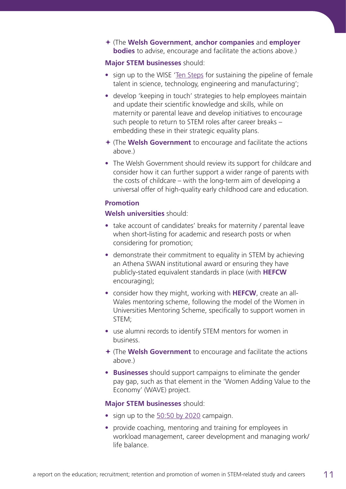ª (The **Welsh Government**, **anchor companies** and **employer bodies** to advise, encourage and facilitate the actions above.)

### **Major STEM businesses** should:

- **•** sign up to the WISE ['Ten Steps](https://www.wisecampaign.org.uk/consultancy/industry-led-ten-steps/10-steps) for sustaining the pipeline of female talent in science, technology, engineering and manufacturing';
- **•** develop 'keeping in touch' strategies to help employees maintain and update their scientific knowledge and skills, while on maternity or parental leave and develop initiatives to encourage such people to return to STEM roles after career breaks – embedding these in their strategic equality plans.
- ª (The **Welsh Government** to encourage and facilitate the actions above.)
- **•** The Welsh Government should review its support for childcare and consider how it can further support a wider range of parents with the costs of childcare – with the long-term aim of developing a universal offer of high-quality early childhood care and education.

### **Promotion**

### **Welsh universities** should:

- **•** take account of candidates' breaks for maternity / parental leave when short-listing for academic and research posts or when considering for promotion;
- **•** demonstrate their commitment to equality in STEM by achieving an Athena SWAN institutional award or ensuring they have publicly-stated equivalent standards in place (with **HEFCW** encouraging);
- **•** consider how they might, working with **HEFCW**, create an all-Wales mentoring scheme, following the model of the Women in Universities Mentoring Scheme, specifically to support women in STEM;
- **•** use alumni records to identify STEM mentors for women in business.
- ª (The **Welsh Government** to encourage and facilitate the actions above.)
- **• Businesses** should support campaigns to eliminate the gender pay gap, such as that element in the 'Women Adding Value to the Economy' (WAVE) project.

### **Major STEM businesses** should:

- **•** sign up to the [50:50 by 2020](http://5050by2020.org.uk/) campaign.
- **•** provide coaching, mentoring and training for employees in workload management, career development and managing work/ life balance.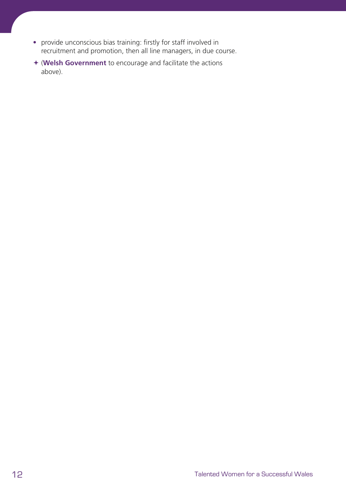- **•** provide unconscious bias training: firstly for staff involved in recruitment and promotion, then all line managers, in due course.
- ª (**Welsh Government** to encourage and facilitate the actions above).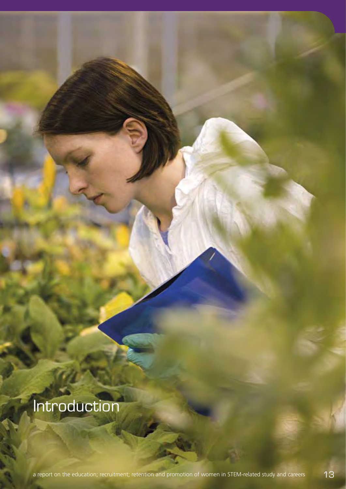Introduction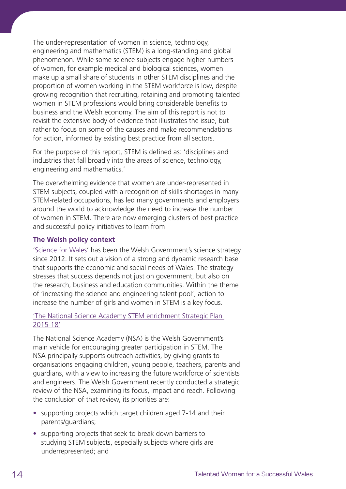The under-representation of women in science, technology, engineering and mathematics (STEM) is a long-standing and global phenomenon. While some science subjects engage higher numbers of women, for example medical and biological sciences, women make up a small share of students in other STEM disciplines and the proportion of women working in the STEM workforce is low, despite growing recognition that recruiting, retaining and promoting talented women in STEM professions would bring considerable benefits to business and the Welsh economy. The aim of this report is not to revisit the extensive body of evidence that illustrates the issue, but rather to focus on some of the causes and make recommendations for action, informed by existing best practice from all sectors.

For the purpose of this report, STEM is defined as: 'disciplines and industries that fall broadly into the areas of science, technology, engineering and mathematics.'

The overwhelming evidence that women are under-represented in STEM subjects, coupled with a recognition of skills shortages in many STEM-related occupations, has led many governments and employers around the world to acknowledge the need to increase the number of women in STEM. There are now emerging clusters of best practice and successful policy initiatives to learn from.

### **The Welsh policy context**

['Science for Wales](http://gov.wales/docs/det/publications/120306scienceen.pdf)' has been the Welsh Government's science strategy since 2012. It sets out a vision of a strong and dynamic research base that supports the economic and social needs of Wales. The strategy stresses that success depends not just on government, but also on the research, business and education communities. Within the theme of 'increasing the science and engineering talent pool', action to increase the number of girls and women in STEM is a key focus.

### ['The National Science Academy STEM enrichment Strategic Plan](http://gov.wales/docs/det/publications/150701-nsa-strategy-en.pdf)  [2015-18'](http://gov.wales/docs/det/publications/150701-nsa-strategy-en.pdf)

The National Science Academy (NSA) is the Welsh Government's main vehicle for encouraging greater participation in STEM. The NSA principally supports outreach activities, by giving grants to organisations engaging children, young people, teachers, parents and guardians, with a view to increasing the future workforce of scientists and engineers. The Welsh Government recently conducted a strategic review of the NSA, examining its focus, impact and reach. Following the conclusion of that review, its priorities are:

- **•** supporting projects which target children aged 7-14 and their parents/guardians;
- **•** supporting projects that seek to break down barriers to studying STEM subjects, especially subjects where girls are underrepresented; and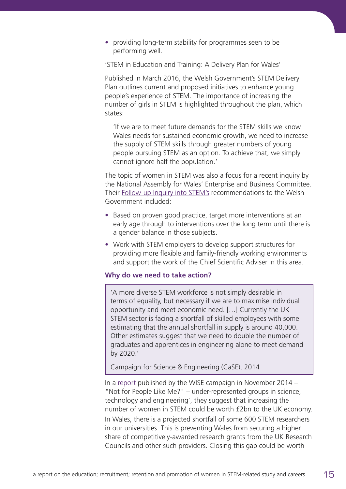**•** providing long-term stability for programmes seen to be performing well.

'STEM in Education and Training: A Delivery Plan for Wales'

Published in March 2016, the Welsh Government's STEM Delivery Plan outlines current and proposed initiatives to enhance young people's experience of STEM. The importance of increasing the number of girls in STEM is highlighted throughout the plan, which states:

 'If we are to meet future demands for the STEM skills we know Wales needs for sustained economic growth, we need to increase the supply of STEM skills through greater numbers of young people pursuing STEM as an option. To achieve that, we simply cannot ignore half the population.'

The topic of women in STEM was also a focus for a recent inquiry by the National Assembly for Wales' Enterprise and Business Committee. Their [Follow-up Inquiry into STEM's](http://www.senedd.assembly.wales/mgIssueHistoryHome.aspx?IId=9156) recommendations to the Welsh Government included:

- **•** Based on proven good practice, target more interventions at an early age through to interventions over the long term until there is a gender balance in those subjects.
- **•** Work with STEM employers to develop support structures for providing more flexible and family-friendly working environments and support the work of the Chief Scientific Adviser in this area.

### **Why do we need to take action?**

'A more diverse STEM workforce is not simply desirable in terms of equality, but necessary if we are to maximise individual opportunity and meet economic need. […] Currently the UK STEM sector is facing a shortfall of skilled employees with some estimating that the annual shortfall in supply is around 40,000. Other estimates suggest that we need to double the number of graduates and apprentices in engineering alone to meet demand by 2020.'

Campaign for Science & Engineering (CaSE), 2014

In a [report](https://www.wisecampaign.org.uk/resources/2015/09/not-for-people-like-me-research-summary) published by the WISE campaign in November 2014 – "Not for People Like Me?" – under-represented groups in science, technology and engineering', they suggest that increasing the number of women in STEM could be worth £2bn to the UK economy. In Wales, there is a projected shortfall of some 600 STEM researchers in our universities. This is preventing Wales from securing a higher share of competitively-awarded research grants from the UK Research Councils and other such providers. Closing this gap could be worth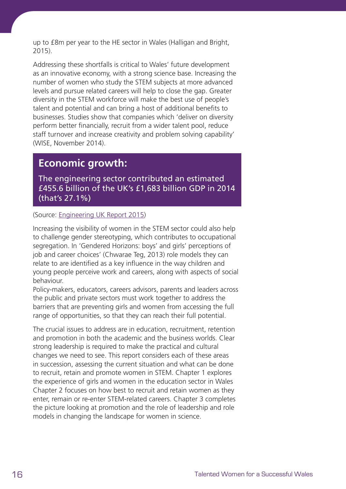up to £8m per year to the HE sector in Wales (Halligan and Bright, 2015).

Addressing these shortfalls is critical to Wales' future development as an innovative economy, with a strong science base. Increasing the number of women who study the STEM subjects at more advanced levels and pursue related careers will help to close the gap. Greater diversity in the STEM workforce will make the best use of people's talent and potential and can bring a host of additional benefits to businesses. Studies show that companies which 'deliver on diversity perform better financially, recruit from a wider talent pool, reduce staff turnover and increase creativity and problem solving capability' (WISE, November 2014).

### **Economic growth:**

The engineering sector contributed an estimated £455.6 billion of the UK's £1,683 billion GDP in 2014 (that's 27.1%)

(Source: [Engineering UK Report 2015\)](http://www.engineeringuk.com/Research/Engineering_UK_Report_2015/)

Increasing the visibility of women in the STEM sector could also help to challenge gender stereotyping, which contributes to occupational segregation. In 'Gendered Horizons: boys' and girls' perceptions of job and career choices' (Chwarae Teg, 2013) role models they can relate to are identified as a key influence in the way children and young people perceive work and careers, along with aspects of social behaviour.

Policy-makers, educators, careers advisors, parents and leaders across the public and private sectors must work together to address the barriers that are preventing girls and women from accessing the full range of opportunities, so that they can reach their full potential.

The crucial issues to address are in education, recruitment, retention and promotion in both the academic and the business worlds. Clear strong leadership is required to make the practical and cultural changes we need to see. This report considers each of these areas in succession, assessing the current situation and what can be done to recruit, retain and promote women in STEM. Chapter 1 explores the experience of girls and women in the education sector in Wales Chapter 2 focuses on how best to recruit and retain women as they enter, remain or re-enter STEM-related careers. Chapter 3 completes the picture looking at promotion and the role of leadership and role models in changing the landscape for women in science.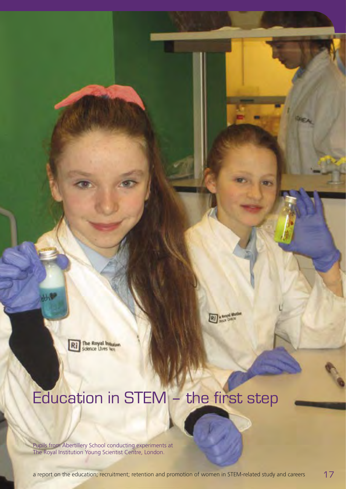The Royal hume<br>Science Lives Net

# Education in STEM – the first step

Pupils from Abertillery School conducting experiments at The Royal Institution Young Scientist Centre, London.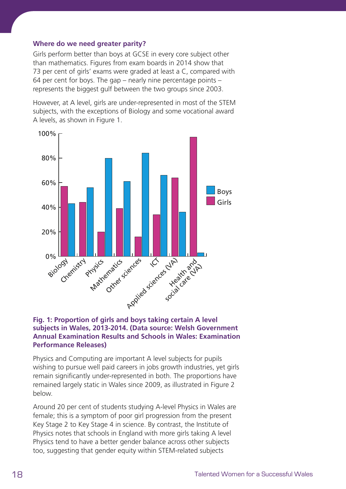### **Where do we need greater parity?**

Girls perform better than boys at GCSE in every core subject other than mathematics. Figures from exam boards in 2014 show that 73 per cent of girls' exams were graded at least a C, compared with 64 per cent for boys. The gap – nearly nine percentage points – represents the biggest gulf between the two groups since 2003.

However, at A level, girls are under-represented in most of the STEM subjects, with the exceptions of Biology and some vocational award A levels, as shown in Figure 1.



### **Fig. 1: Proportion of girls and boys taking certain A level subjects in Wales, 2013-2014. (Data source: Welsh Government Annual Examination Results and Schools in Wales: Examination Performance Releases)**

Physics and Computing are important A level subjects for pupils wishing to pursue well paid careers in jobs growth industries, yet girls remain significantly under-represented in both. The proportions have remained largely static in Wales since 2009, as illustrated in Figure 2 below.

Around 20 per cent of students studying A-level Physics in Wales are female; this is a symptom of poor girl progression from the present Key Stage 2 to Key Stage 4 in science. By contrast, the Institute of Physics notes that schools in England with more girls taking A level Physics tend to have a better gender balance across other subjects too, suggesting that gender equity within STEM-related subjects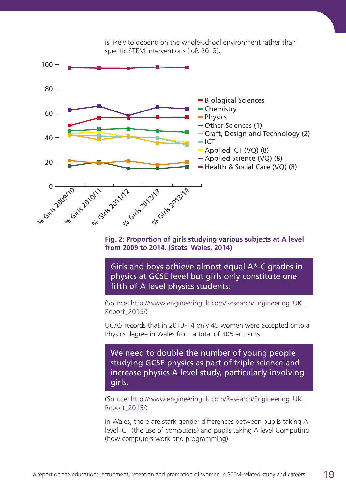

is likely to depend on the whole-school environment rather than specific STEM interventions (IoP, 2013).

**Fig. 2: Proportion of girls studying various subjects at A level from 2009 to 2014. (Stats. Wales, 2014)**

Girls and boys achieve almost equal A\*-C grades in physics at GCSE level but girls only constitute one fifth of A level physics students.

(Source: [http://www.engineeringuk.com/Research/Engineering\\_UK\\_](http://www.engineeringuk.com/Research/Engineering_UK_Report_2015/) [Report\\_2015/\)](http://www.engineeringuk.com/Research/Engineering_UK_Report_2015/)

UCAS records that in 2013-14 only 45 women were accepted onto a Physics degree in Wales from a total of 305 entrants.

We need to double the number of young people studying GCSE physics as part of triple science and increase physics A level study, particularly involving girls.

(Source: [http://www.engineeringuk.com/Research/Engineering\\_UK\\_](http://www.engineeringuk.com/Research/Engineering_UK_Report_2015/) [Report\\_2015/\)](http://www.engineeringuk.com/Research/Engineering_UK_Report_2015/)

In Wales, there are stark gender differences between pupils taking A level ICT (the use of computers) and pupils taking A level Computing (how computers work and programming).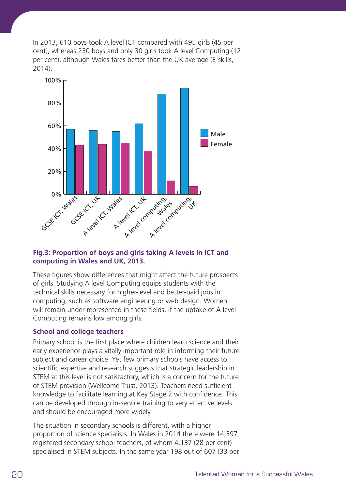In 2013, 610 boys took A level ICT compared with 495 girls (45 per cent), whereas 230 boys and only 30 girls took A level Computing (12 per cent), although Wales fares better than the UK average (E-skills, 2014).



### **Fig.3: Proportion of boys and girls taking A levels in ICT and computing in Wales and UK, 2013.**

These figures show differences that might affect the future prospects of girls. Studying A level Computing equips students with the technical skills necessary for higher-level and better-paid jobs in computing, such as software engineering or web design. Women will remain under-represented in these fields, if the uptake of A level Computing remains low among girls.

### **School and college teachers**

Primary school is the first place where children learn science and their early experience plays a vitally important role in informing their future subject and career choice. Yet few primary schools have access to scientific expertise and research suggests that strategic leadership in STEM at this level is not satisfactory, which is a concern for the future of STEM provision (Wellcome Trust, 2013). Teachers need sufficient knowledge to facilitate learning at Key Stage 2 with confidence. This can be developed through in-service training to very effective levels and should be encouraged more widely.

The situation in secondary schools is different, with a higher proportion of science specialists. In Wales in 2014 there were 14,597 registered secondary school teachers, of whom 4,137 (28 per cent) specialised in STEM subjects. In the same year 198 out of 607 (33 per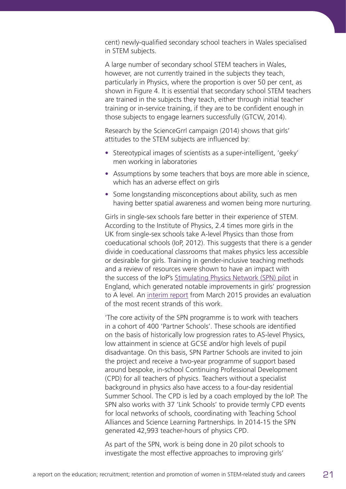cent) newly-qualified secondary school teachers in Wales specialised in STEM subjects.

A large number of secondary school STEM teachers in Wales, however, are not currently trained in the subjects they teach, particularly in Physics, where the proportion is over 50 per cent, as shown in Figure 4. It is essential that secondary school STEM teachers are trained in the subjects they teach, either through initial teacher training or in-service training, if they are to be confident enough in those subjects to engage learners successfully (GTCW, 2014).

Research by the ScienceGrrl campaign (2014) shows that girls' attitudes to the STEM subjects are influenced by:

- **•** Stereotypical images of scientists as a super-intelligent, 'geeky' men working in laboratories
- **•** Assumptions by some teachers that boys are more able in science, which has an adverse effect on girls
- **•** Some longstanding misconceptions about ability, such as men having better spatial awareness and women being more nurturing.

Girls in single-sex schools fare better in their experience of STEM. According to the Institute of Physics, 2.4 times more girls in the UK from single-sex schools take A-level Physics than those from coeducational schools (IoP, 2012). This suggests that there is a gender divide in coeducational classrooms that makes physics less accessible or desirable for girls. Training in gender-inclusive teaching methods and a review of resources were shown to have an impact with the success of the IoP's [Stimulating Physics Network \(SPN\) pilot](http://stimulatingphysics.org/the-pilot.htm) in England, which generated notable improvements in girls' progression to A level. An [interim report](http://www.stimulatingphysics.org/pdfs/Institute-of-Physics-SPN-Evaluation-interim-report-2015.pdf) from March 2015 provides an evaluation of the most recent strands of this work.

'The core activity of the SPN programme is to work with teachers in a cohort of 400 'Partner Schools'. These schools are identified on the basis of historically low progression rates to AS-level Physics, low attainment in science at GCSE and/or high levels of pupil disadvantage. On this basis, SPN Partner Schools are invited to join the project and receive a two-year programme of support based around bespoke, in-school Continuing Professional Development (CPD) for all teachers of physics. Teachers without a specialist background in physics also have access to a four-day residential Summer School. The CPD is led by a coach employed by the IoP. The SPN also works with 37 'Link Schools' to provide termly CPD events for local networks of schools, coordinating with Teaching School Alliances and Science Learning Partnerships. In 2014-15 the SPN generated 42,993 teacher-hours of physics CPD.

As part of the SPN, work is being done in 20 pilot schools to investigate the most effective approaches to improving girls'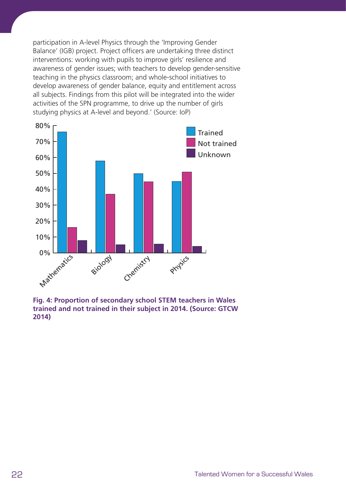participation in A-level Physics through the 'Improving Gender Balance' (IGB) project. Project officers are undertaking three distinct interventions: working with pupils to improve girls' resilience and awareness of gender issues; with teachers to develop gender-sensitive teaching in the physics classroom; and whole-school initiatives to develop awareness of gender balance, equity and entitlement across all subjects. Findings from this pilot will be integrated into the wider activities of the SPN programme, to drive up the number of girls studying physics at A-level and beyond.' (Source: IoP)



**Fig. 4: Proportion of secondary school STEM teachers in Wales trained and not trained in their subject in 2014. (Source: GTCW 2014)**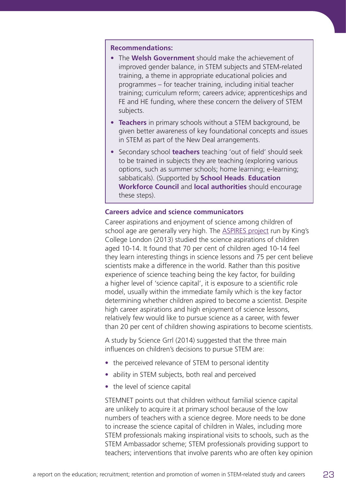### **Recommendations:**

- **•** The **Welsh Government** should make the achievement of improved gender balance, in STEM subjects and STEM-related training, a theme in appropriate educational policies and programmes – for teacher training, including initial teacher training; curriculum reform; careers advice; apprenticeships and FE and HE funding, where these concern the delivery of STEM subjects.
- **• Teachers** in primary schools without a STEM background, be given better awareness of key foundational concepts and issues in STEM as part of the New Deal arrangements.
- **•** Secondary school **teachers** teaching 'out of field' should seek to be trained in subjects they are teaching (exploring various options, such as summer schools; home learning; e-learning; sabbaticals). (Supported by **School Heads**. **Education Workforce Council** and **local authorities** should encourage these steps).

### **Careers advice and science communicators**

Career aspirations and enjoyment of science among children of school age are generally very high. The **ASPIRES** project run by King's College London (2013) studied the science aspirations of children aged 10-14. It found that 70 per cent of children aged 10-14 feel they learn interesting things in science lessons and 75 per cent believe scientists make a difference in the world. Rather than this positive experience of science teaching being the key factor, for building a higher level of 'science capital', it is exposure to a scientific role model, usually within the immediate family which is the key factor determining whether children aspired to become a scientist. Despite high career aspirations and high enjoyment of science lessons, relatively few would like to pursue science as a career, with fewer than 20 per cent of children showing aspirations to become scientists.

A study by Science Grrl (2014) suggested that the three main influences on children's decisions to pursue STEM are:

- **•** the perceived relevance of STEM to personal identity
- **•** ability in STEM subjects, both real and perceived
- **•** the level of science capital

STEMNET points out that children without familial science capital are unlikely to acquire it at primary school because of the low numbers of teachers with a science degree. More needs to be done to increase the science capital of children in Wales, including more STEM professionals making inspirational visits to schools, such as the STEM Ambassador scheme; STEM professionals providing support to teachers; interventions that involve parents who are often key opinion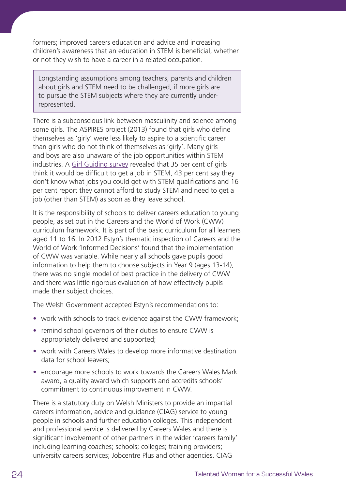formers; improved careers education and advice and increasing children's awareness that an education in STEM is beneficial, whether or not they wish to have a career in a related occupation.

Longstanding assumptions among teachers, parents and children about girls and STEM need to be challenged, if more girls are to pursue the STEM subjects where they are currently underrepresented.

There is a subconscious link between masculinity and science among some girls. The ASPIRES project (2013) found that girls who define themselves as 'girly' were less likely to aspire to a scientific career than girls who do not think of themselves as 'girly'. Many girls and boys are also unaware of the job opportunities within STEM industries. A [Girl Guiding survey](http://girlsattitudes.girlguiding.org.uk/about_the_survey/past_surveys_-_2011.aspx) revealed that 35 per cent of girls think it would be difficult to get a job in STEM, 43 per cent say they don't know what jobs you could get with STEM qualifications and 16 per cent report they cannot afford to study STEM and need to get a job (other than STEM) as soon as they leave school.

It is the responsibility of schools to deliver careers education to young people, as set out in the Careers and the World of Work (CWW) curriculum framework. It is part of the basic curriculum for all learners aged 11 to 16. In 2012 Estyn's thematic inspection of Careers and the World of Work 'Informed Decisions' found that the implementation of CWW was variable. While nearly all schools gave pupils good information to help them to choose subjects in Year 9 (ages 13-14), there was no single model of best practice in the delivery of CWW and there was little rigorous evaluation of how effectively pupils made their subject choices.

The Welsh Government accepted Estyn's recommendations to:

- **•** work with schools to track evidence against the CWW framework;
- **•** remind school governors of their duties to ensure CWW is appropriately delivered and supported;
- **•** work with Careers Wales to develop more informative destination data for school leavers;
- **•** encourage more schools to work towards the Careers Wales Mark award, a quality award which supports and accredits schools' commitment to continuous improvement in CWW.

There is a statutory duty on Welsh Ministers to provide an impartial careers information, advice and guidance (CIAG) service to young people in schools and further education colleges. This independent and professional service is delivered by Careers Wales and there is significant involvement of other partners in the wider 'careers family' including learning coaches; schools; colleges; training providers; university careers services; Jobcentre Plus and other agencies. CIAG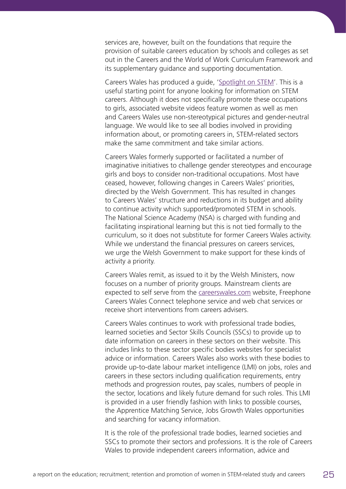services are, however, built on the foundations that require the provision of suitable careers education by schools and colleges as set out in the Careers and the World of Work Curriculum Framework and its supplementary guidance and supporting documentation.

Careers Wales has produced a guide, '[Spotlight on STEM](https://www.careerswales.com/en/spotlight-on-stem/)'. This is a useful starting point for anyone looking for information on STEM careers. Although it does not specifically promote these occupations to girls, associated website videos feature women as well as men and Careers Wales use non-stereotypical pictures and gender-neutral language. We would like to see all bodies involved in providing information about, or promoting careers in, STEM-related sectors make the same commitment and take similar actions.

Careers Wales formerly supported or facilitated a number of imaginative initiatives to challenge gender stereotypes and encourage girls and boys to consider non-traditional occupations. Most have ceased, however, following changes in Careers Wales' priorities, directed by the Welsh Government. This has resulted in changes to Careers Wales' structure and reductions in its budget and ability to continue activity which supported/promoted STEM in schools. The National Science Academy (NSA) is charged with funding and facilitating inspirational learning but this is not tied formally to the curriculum, so it does not substitute for former Careers Wales activity. While we understand the financial pressures on careers services, we urge the Welsh Government to make support for these kinds of activity a priority.

Careers Wales remit, as issued to it by the Welsh Ministers, now focuses on a number of priority groups. Mainstream clients are expected to self serve from the [careerswales.com](https://www.careerswales.com/en/) website, Freephone Careers Wales Connect telephone service and web chat services or receive short interventions from careers advisers.

Careers Wales continues to work with professional trade bodies, learned societies and Sector Skills Councils (SSCs) to provide up to date information on careers in these sectors on their website. This includes links to these sector specific bodies websites for specialist advice or information. Careers Wales also works with these bodies to provide up-to-date labour market intelligence (LMI) on jobs, roles and careers in these sectors including qualification requirements, entry methods and progression routes, pay scales, numbers of people in the sector, locations and likely future demand for such roles. This LMI is provided in a user friendly fashion with links to possible courses, the Apprentice Matching Service, Jobs Growth Wales opportunities and searching for vacancy information.

It is the role of the professional trade bodies, learned societies and SSCs to promote their sectors and professions. It is the role of Careers Wales to provide independent careers information, advice and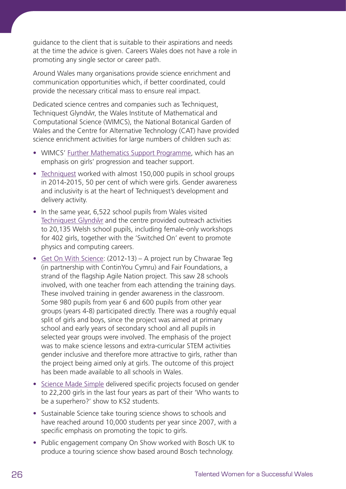guidance to the client that is suitable to their aspirations and needs at the time the advice is given. Careers Wales does not have a role in promoting any single sector or career path.

Around Wales many organisations provide science enrichment and communication opportunities which, if better coordinated, could provide the necessary critical mass to ensure real impact.

Dedicated science centres and companies such as Techniquest, Techniquest Glyndŵr, the Wales Institute of Mathematical and Computational Science (WIMCS), the National Botanical Garden of Wales and the Centre for Alternative Technology (CAT) have provided science enrichment activities for large numbers of children such as:

- **•** WIMCS' [Further Mathematics Support Programme,](http://www.furthermaths.org.uk/?section=regions&page=wales) which has an emphasis on girls' progression and teacher support.
- **•** [Techniquest](http://www.techniquest.org) worked with almost 150,000 pupils in school groups in 2014-2015, 50 per cent of which were girls. Gender awareness and inclusivity is at the heart of Techniquest's development and delivery activity.
- **•** In the same year, 6,522 school pupils from Wales visited Techniquest Glyndŵr and the centre provided outreach activities to 20,135 Welsh school pupils, including female-only workshops for 402 girls, together with the 'Switched On' event to promote physics and computing careers.
- **•** [Get On With Science:](http://www.cteg.org.uk/projects/get-on-with-science-gows/) (2012-13) A project run by Chwarae Teg (in partnership with ContinYou Cymru) and Fair Foundations, a strand of the flagship Agile Nation project. This saw 28 schools involved, with one teacher from each attending the training days. These involved training in gender awareness in the classroom. Some 980 pupils from year 6 and 600 pupils from other year groups (years 4-8) participated directly. There was a roughly equal split of girls and boys, since the project was aimed at primary school and early years of secondary school and all pupils in selected year groups were involved. The emphasis of the project was to make science lessons and extra-curricular STEM activities gender inclusive and therefore more attractive to girls, rather than the project being aimed only at girls. The outcome of this project has been made available to all schools in Wales.
- **•** [Science Made Simple](http://www.sciencemadesimple.co.uk) delivered specific projects focused on gender to 22,200 girls in the last four years as part of their 'Who wants to be a superhero?' show to KS2 students.
- **•** Sustainable Science take touring science shows to schools and have reached around 10,000 students per year since 2007, with a specific emphasis on promoting the topic to girls.
- **•** Public engagement company On Show worked with Bosch UK to produce a touring science show based around Bosch technology.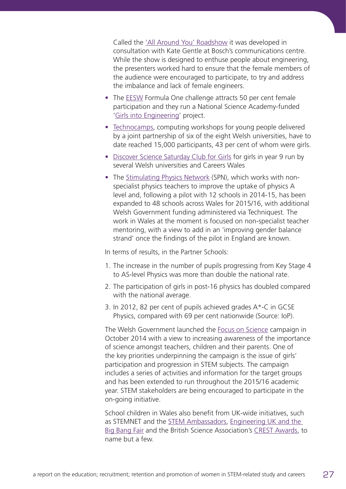Called the ['All Around You' Roadshow](https://www.youtube.com/watch?v=eNQnN6yGPgY) it was developed in consultation with Kate Gentle at Bosch's communications centre. While the show is designed to enthuse people about engineering, the presenters worked hard to ensure that the female members of the audience were encouraged to participate, to try and address the imbalance and lack of female engineers.

- **•** The [EESW](http://www.stemcymru.org.uk) Formula One challenge attracts 50 per cent female participation and they run a National Science Academy-funded ['Girls into Engineering](http://www.stemcymru.org.uk/project-strands/girls-into-engineering/)' project.
- **•** [Technocamps,](http://www.technocamps.com) computing workshops for young people delivered by a joint partnership of six of the eight Welsh universities, have to date reached 15,000 participants, 43 per cent of whom were girls.
- **•** [Discover Science Saturday Club for Girls](https://www.careerswales.com/prof/server.php?show=nav.9812) for girls in year 9 run by several Welsh universities and Careers Wales
- **•** The [Stimulating Physics Network](http://stimulatingphysics.org/wales.htm) (SPN), which works with nonspecialist physics teachers to improve the uptake of physics A level and, following a pilot with 12 schools in 2014-15, has been expanded to 48 schools across Wales for 2015/16, with additional Welsh Government funding administered via Techniquest. The work in Wales at the moment is focused on non-specialist teacher mentoring, with a view to add in an 'improving gender balance strand' once the findings of the pilot in England are known.

In terms of results, in the Partner Schools:

- 1. The increase in the number of pupils progressing from Key Stage 4 to AS-level Physics was more than double the national rate.
- 2. The participation of girls in post-16 physics has doubled compared with the national average.
- 3. In 2012, 82 per cent of pupils achieved grades A\*-C in GCSE Physics, compared with 69 per cent nationwide (Source: IoP).

The Welsh Government launched the [Focus on Science](http://learning.gov.wales/news/sitenews/qualified-for-life-focus-on-science/?lang=en) campaign in October 2014 with a view to increasing awareness of the importance of science amongst teachers, children and their parents. One of the key priorities underpinning the campaign is the issue of girls' participation and progression in STEM subjects. The campaign includes a series of activities and information for the target groups and has been extended to run throughout the 2015/16 academic year. STEM stakeholders are being encouraged to participate in the on-going initiative.

School children in Wales also benefit from UK-wide initiatives, such as STEMNET and the [STEM Ambassadors](http://www.stemnet.org.uk/ambassadors/), [Engineering UK and the](http://www.engineeringuk.com)  [Big Bang Fair](http://www.engineeringuk.com) and the British Science Association's [CREST Awards,](http://www.britishscienceassociation.org/crest-awards) to name but a few.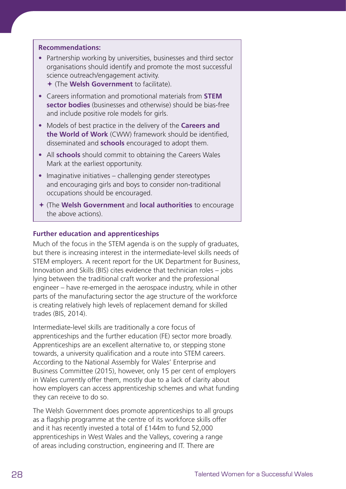### **Recommendations:**

- **•** Partnership working by universities, businesses and third sector organisations should identify and promote the most successful science outreach/engagement activity.
	- ª (The **Welsh Government** to facilitate).
- **•** Careers information and promotional materials from **STEM sector bodies** (businesses and otherwise) should be bias-free and include positive role models for girls.
- **•** Models of best practice in the delivery of the **Careers and the World of Work** (CWW) framework should be identified, disseminated and **schools** encouraged to adopt them.
- **•** All **schools** should commit to obtaining the Careers Wales Mark at the earliest opportunity.
- **•** Imaginative initiatives challenging gender stereotypes and encouraging girls and boys to consider non-traditional occupations should be encouraged.
- ª (The **Welsh Government** and **local authorities** to encourage the above actions).

### **Further education and apprenticeships**

Much of the focus in the STEM agenda is on the supply of graduates, but there is increasing interest in the intermediate-level skills needs of STEM employers. A recent report for the UK Department for Business, Innovation and Skills (BIS) cites evidence that technician roles – jobs lying between the traditional craft worker and the professional engineer – have re-emerged in the aerospace industry, while in other parts of the manufacturing sector the age structure of the workforce is creating relatively high levels of replacement demand for skilled trades (BIS, 2014).

Intermediate-level skills are traditionally a core focus of apprenticeships and the further education (FE) sector more broadly. Apprenticeships are an excellent alternative to, or stepping stone towards, a university qualification and a route into STEM careers. According to the National Assembly for Wales' Enterprise and Business Committee (2015), however, only 15 per cent of employers in Wales currently offer them, mostly due to a lack of clarity about how employers can access apprenticeship schemes and what funding they can receive to do so.

The Welsh Government does promote apprenticeships to all groups as a flagship programme at the centre of its workforce skills offer and it has recently invested a total of £144m to fund 52,000 apprenticeships in West Wales and the Valleys, covering a range of areas including construction, engineering and IT. There are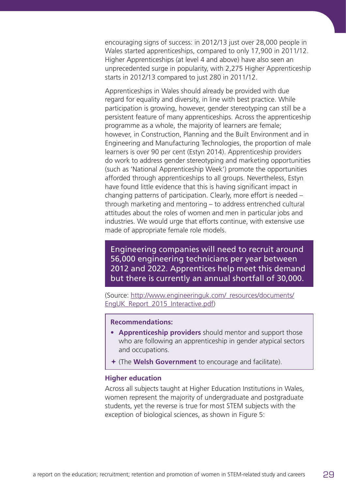encouraging signs of success: in 2012/13 just over 28,000 people in Wales started apprenticeships, compared to only 17,900 in 2011/12. Higher Apprenticeships (at level 4 and above) have also seen an unprecedented surge in popularity, with 2,275 Higher Apprenticeship starts in 2012/13 compared to just 280 in 2011/12.

Apprenticeships in Wales should already be provided with due regard for equality and diversity, in line with best practice. While participation is growing, however, gender stereotyping can still be a persistent feature of many apprenticeships. Across the apprenticeship programme as a whole, the majority of learners are female; however, in Construction, Planning and the Built Environment and in Engineering and Manufacturing Technologies, the proportion of male learners is over 90 per cent (Estyn 2014). Apprenticeship providers do work to address gender stereotyping and marketing opportunities (such as 'National Apprenticeship Week') promote the opportunities afforded through apprenticeships to all groups. Nevertheless, Estyn have found little evidence that this is having significant impact in changing patterns of participation. Clearly, more effort is needed – through marketing and mentoring – to address entrenched cultural attitudes about the roles of women and men in particular jobs and industries. We would urge that efforts continue, with extensive use made of appropriate female role models.

Engineering companies will need to recruit around 56,000 engineering technicians per year between 2012 and 2022. Apprentices help meet this demand but there is currently an annual shortfall of 30,000.

(Source: [http://www.engineeringuk.com/\\_resources/documents/](http://www.engineeringuk.com/_resources/documents/EngUK_Report_2015_Interactive.pdf) [EngUK\\_Report\\_2015\\_Interactive.pdf](http://www.engineeringuk.com/_resources/documents/EngUK_Report_2015_Interactive.pdf))

#### **Recommendations:**

- **• Apprenticeship providers** should mentor and support those who are following an apprenticeship in gender atypical sectors and occupations.
- ª (The **Welsh Government** to encourage and facilitate).

#### **Higher education**

Across all subjects taught at Higher Education Institutions in Wales, women represent the majority of undergraduate and postgraduate students, yet the reverse is true for most STEM subjects with the exception of biological sciences, as shown in Figure 5: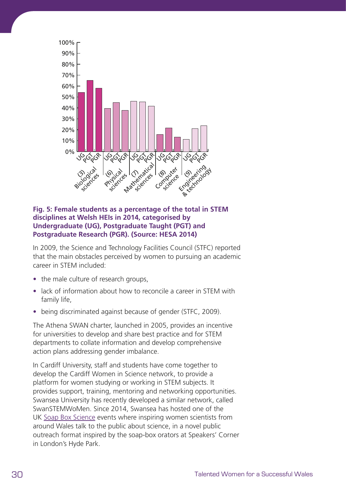

### **Fig. 5: Female students as a percentage of the total in STEM disciplines at Welsh HEIs in 2014, categorised by Undergraduate (UG), Postgraduate Taught (PGT) and Postgraduate Research (PGR). (Source: HESA 2014)**

In 2009, the Science and Technology Facilities Council (STFC) reported that the main obstacles perceived by women to pursuing an academic career in STEM included:

- **•** the male culture of research groups,
- **•** lack of information about how to reconcile a career in STEM with family life,
- **•** being discriminated against because of gender (STFC, 2009).

The Athena SWAN charter, launched in 2005, provides an incentive for universities to develop and share best practice and for STEM departments to collate information and develop comprehensive action plans addressing gender imbalance.

In Cardiff University, staff and students have come together to develop the Cardiff Women in Science network, to provide a platform for women studying or working in STEM subjects. It provides support, training, mentoring and networking opportunities. Swansea University has recently developed a similar network, called SwanSTEMWoMen. Since 2014, Swansea has hosted one of the UK [Soap Box Science](http://soapboxscience.org) events where inspiring women scientists from around Wales talk to the public about science, in a novel public outreach format inspired by the soap-box orators at Speakers' Corner in London's Hyde Park.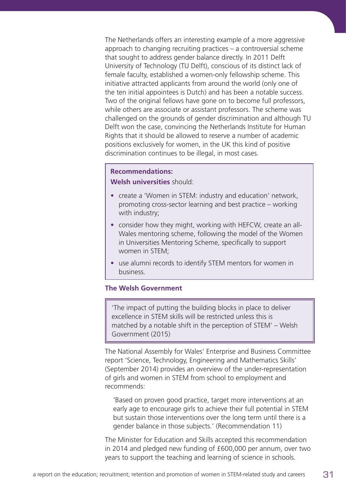The Netherlands offers an interesting example of a more aggressive approach to changing recruiting practices – a controversial scheme that sought to address gender balance directly. In 2011 Delft University of Technology (TU Delft), conscious of its distinct lack of female faculty, established a women-only fellowship scheme. This initiative attracted applicants from around the world (only one of the ten initial appointees is Dutch) and has been a notable success. Two of the original fellows have gone on to become full professors, while others are associate or assistant professors. The scheme was challenged on the grounds of gender discrimination and although TU Delft won the case, convincing the Netherlands Institute for Human Rights that it should be allowed to reserve a number of academic positions exclusively for women, in the UK this kind of positive discrimination continues to be illegal, in most cases.

### **Recommendations:**

**Welsh universities** should:

- **•** create a 'Women in STEM: industry and education' network, promoting cross-sector learning and best practice – working with industry;
- **•** consider how they might, working with HEFCW, create an all-Wales mentoring scheme, following the model of the Women in Universities Mentoring Scheme, specifically to support women in STEM;
- **•** use alumni records to identify STEM mentors for women in business.

### **The Welsh Government**

'The impact of putting the building blocks in place to deliver excellence in STEM skills will be restricted unless this is matched by a notable shift in the perception of STEM' – Welsh Government (2015)

The National Assembly for Wales' Enterprise and Business Committee report 'Science, Technology, Engineering and Mathematics Skills' (September 2014) provides an overview of the under-representation of girls and women in STEM from school to employment and recommends:

 'Based on proven good practice, target more interventions at an early age to encourage girls to achieve their full potential in STEM but sustain those interventions over the long term until there is a gender balance in those subjects.' (Recommendation 11)

The Minister for Education and Skills accepted this recommendation in 2014 and pledged new funding of £600,000 per annum, over two years to support the teaching and learning of science in schools.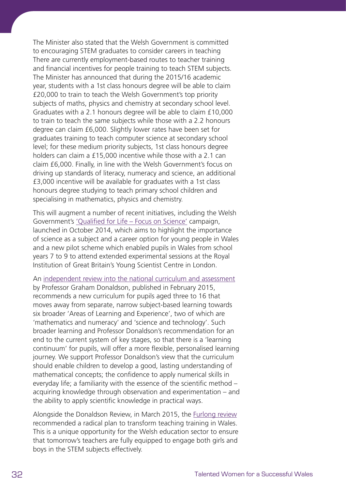The Minister also stated that the Welsh Government is committed to encouraging STEM graduates to consider careers in teaching There are currently employment-based routes to teacher training and financial incentives for people training to teach STEM subjects. The Minister has announced that during the 2015/16 academic year, students with a 1st class honours degree will be able to claim £20,000 to train to teach the Welsh Government's top priority subjects of maths, physics and chemistry at secondary school level. Graduates with a 2.1 honours degree will be able to claim £10,000 to train to teach the same subjects while those with a 2.2 honours degree can claim £6,000. Slightly lower rates have been set for graduates training to teach computer science at secondary school level; for these medium priority subjects, 1st class honours degree holders can claim a £15,000 incentive while those with a 2.1 can claim £6,000. Finally, in line with the Welsh Government's focus on driving up standards of literacy, numeracy and science, an additional £3,000 incentive will be available for graduates with a 1st class honours degree studying to teach primary school children and specialising in mathematics, physics and chemistry.

This will augment a number of recent initiatives, including the Welsh Government's ['Qualified for Life – Focus on Science'](http://learning.gov.wales/news/sitenews/qualified-for-life-focus-on-science/?lang=en) campaign, launched in October 2014, which aims to highlight the importance of science as a subject and a career option for young people in Wales and a new pilot scheme which enabled pupils in Wales from school years 7 to 9 to attend extended experimental sessions at the Royal Institution of Great Britain's Young Scientist Centre in London.

An [independent review into the national curriculum and assessment](http://gov.wales/docs/dcells/publications/150317-successful-futures-en.pdf) by Professor Graham Donaldson, published in February 2015, recommends a new curriculum for pupils aged three to 16 that moves away from separate, narrow subject-based learning towards six broader 'Areas of Learning and Experience', two of which are 'mathematics and numeracy' and 'science and technology'. Such broader learning and Professor Donaldson's recommendation for an end to the current system of key stages, so that there is a 'learning continuum' for pupils, will offer a more flexible, personalised learning journey. We support Professor Donaldson's view that the curriculum should enable children to develop a good, lasting understanding of mathematical concepts; the confidence to apply numerical skills in everyday life; a familiarity with the essence of the scientific method – acquiring knowledge through observation and experimentation – and the ability to apply scientific knowledge in practical ways.

Alongside the Donaldson Review, in March 2015, the [Furlong review](http://gov.wales/docs/dcells/publications/150309-teaching-tomorrows-teachers-final.pdf) recommended a radical plan to transform teaching training in Wales. This is a unique opportunity for the Welsh education sector to ensure that tomorrow's teachers are fully equipped to engage both girls and boys in the STEM subjects effectively.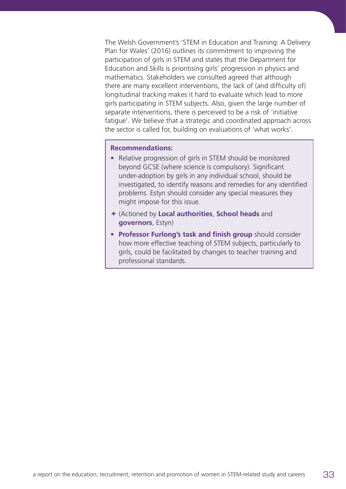The Welsh Government's 'STEM in Education and Training: A Delivery Plan for Wales' (2016) outlines its commitment to improving the participation of girls in STEM and states that the Department for Education and Skills is prioritising girls' progression in physics and mathematics. Stakeholders we consulted agreed that although there are many excellent interventions, the lack of (and difficulty of) longitudinal tracking makes it hard to evaluate which lead to more girls participating in STEM subjects. Also, given the large number of separate interventions, there is perceived to be a risk of 'initiative fatigue'. We believe that a strategic and coordinated approach across the sector is called for, building on evaluations of 'what works'.

### **Recommendations:**

- **•** Relative progression of girls in STEM should be monitored beyond GCSE (where science is compulsory). Significant under-adoption by girls in any individual school, should be investigated, to identify reasons and remedies for any identified problems. Estyn should consider any special measures they might impose for this issue.
- ª (Actioned by **Local authorities**, **School heads** and **governors**, Estyn)
- **• Professor Furlong's task and finish group** should consider how more effective teaching of STEM subjects, particularly to girls, could be facilitated by changes to teacher training and professional standards.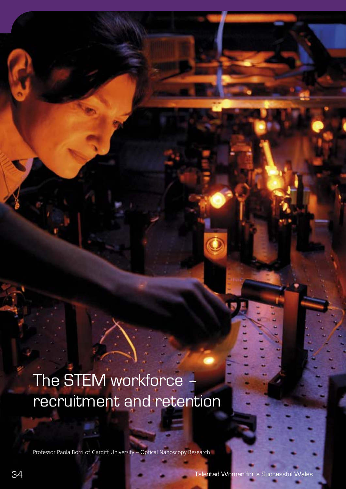# The STEM workforce recruitment and retention

Professor Paola Borri of Cardiff University – Optical Nanoscopy Research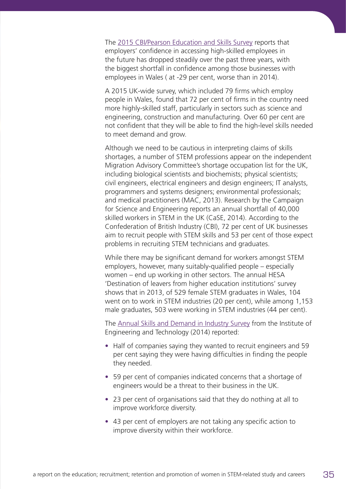The [2015 CBI/Pearson Education and Skills Survey](http://news.cbi.org.uk/reports/education-and-skills-survey-2015/education-and-skills-survey-2015/) reports that employers' confidence in accessing high-skilled employees in the future has dropped steadily over the past three years, with the biggest shortfall in confidence among those businesses with employees in Wales ( at -29 per cent, worse than in 2014).

A 2015 UK-wide survey, which included 79 firms which employ people in Wales, found that 72 per cent of firms in the country need more highly-skilled staff, particularly in sectors such as science and engineering, construction and manufacturing. Over 60 per cent are not confident that they will be able to find the high-level skills needed to meet demand and grow.

Although we need to be cautious in interpreting claims of skills shortages, a number of STEM professions appear on the independent Migration Advisory Committee's shortage occupation list for the UK, including biological scientists and biochemists; physical scientists; civil engineers, electrical engineers and design engineers; IT analysts, programmers and systems designers; environmental professionals; and medical practitioners (MAC, 2013). Research by the Campaign for Science and Engineering reports an annual shortfall of 40,000 skilled workers in STEM in the UK (CaSE, 2014). According to the Confederation of British Industry (CBI), 72 per cent of UK businesses aim to recruit people with STEM skills and 53 per cent of those expect problems in recruiting STEM technicians and graduates.

While there may be significant demand for workers amongst STEM employers, however, many suitably-qualified people – especially women – end up working in other sectors. The annual HESA 'Destination of leavers from higher education institutions' survey shows that in 2013, of 529 female STEM graduates in Wales, 104 went on to work in STEM industries (20 per cent), while among 1,153 male graduates, 503 were working in STEM industries (44 per cent).

The [Annual Skills and Demand in Industry Survey](http://www.theiet.org/factfiles/education/skills2014-page.cfm) from the Institute of Engineering and Technology (2014) reported:

- **•** Half of companies saying they wanted to recruit engineers and 59 per cent saying they were having difficulties in finding the people they needed.
- **•** 59 per cent of companies indicated concerns that a shortage of engineers would be a threat to their business in the UK.
- **•** 23 per cent of organisations said that they do nothing at all to improve workforce diversity.
- **•** 43 per cent of employers are not taking any specific action to improve diversity within their workforce.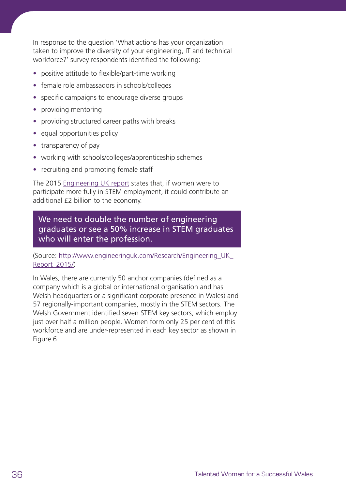In response to the question 'What actions has your organization taken to improve the diversity of your engineering, IT and technical workforce?' survey respondents identified the following:

- **•** positive attitude to flexible/part-time working
- **•** female role ambassadors in schools/colleges
- **•** specific campaigns to encourage diverse groups
- **•** providing mentoring
- **•** providing structured career paths with breaks
- **•** equal opportunities policy
- **•** transparency of pay
- **•** working with schools/colleges/apprenticeship schemes
- **•** recruiting and promoting female staff

The 2015 [Engineering UK report](http://www.engineeringuk.com/_resources/documents/EngUK_Report_2015_Interactive.pdf) states that, if women were to participate more fully in STEM employment, it could contribute an additional £2 billion to the economy.

We need to double the number of engineering graduates or see a 50% increase in STEM graduates who will enter the profession.

(Source: [http://www.engineeringuk.com/Research/Engineering\\_UK\\_](http://www.engineeringuk.com/Research/Engineering_UK_Report_2015/) [Report\\_2015/\)](http://www.engineeringuk.com/Research/Engineering_UK_Report_2015/)

In Wales, there are currently 50 anchor companies (defined as a company which is a global or international organisation and has Welsh headquarters or a significant corporate presence in Wales) and 57 regionally-important companies, mostly in the STEM sectors. The Welsh Government identified seven STEM key sectors, which employ just over half a million people. Women form only 25 per cent of this workforce and are under-represented in each key sector as shown in Figure 6.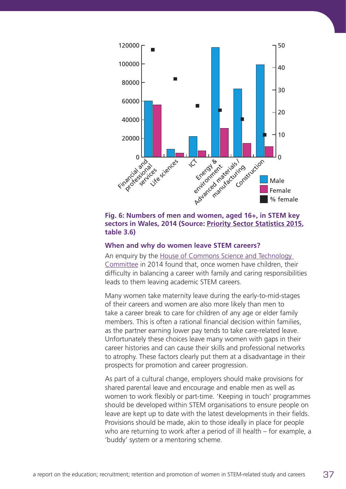

**Fig. 6: Numbers of men and women, aged 16+, in STEM key sectors in Wales, 2014 (Source: [Priority Sector Statistics 2015](http://gov.wales/statistics-and-research/priority-sector-statistics/?skip=1&lang=en), table 3.6)**

#### **When and why do women leave STEM careers?**

An enquiry by the [House of Commons Science and Technology](http://www.publications.parliament.uk/pa/cm201314/cmselect/cmsctech/701/701.pdf)  [Committee](http://www.publications.parliament.uk/pa/cm201314/cmselect/cmsctech/701/701.pdf) in 2014 found that, once women have children, their difficulty in balancing a career with family and caring responsibilities leads to them leaving academic STEM careers.

Many women take maternity leave during the early-to-mid-stages of their careers and women are also more likely than men to take a career break to care for children of any age or elder family members. This is often a rational financial decision within families, as the partner earning lower pay tends to take care-related leave. Unfortunately these choices leave many women with gaps in their career histories and can cause their skills and professional networks to atrophy. These factors clearly put them at a disadvantage in their prospects for promotion and career progression.

As part of a cultural change, employers should make provisions for shared parental leave and encourage and enable men as well as women to work flexibly or part-time. 'Keeping in touch' programmes should be developed within STEM organisations to ensure people on leave are kept up to date with the latest developments in their fields. Provisions should be made, akin to those ideally in place for people who are returning to work after a period of ill health – for example, a 'buddy' system or a mentoring scheme.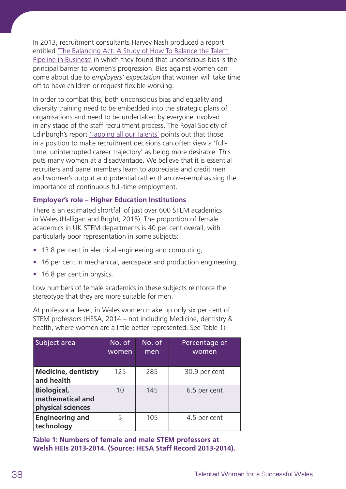In 2013, recruitment consultants Harvey Nash produced a report entitled ['The Balancing Act: A Study of How To Balance the Talent](http://www.harveynash.com/inspire/documents/Inspire-TheBalancingAct_LR.pdf)  [Pipeline in Business'](http://www.harveynash.com/inspire/documents/Inspire-TheBalancingAct_LR.pdf) in which they found that unconscious bias is the principal barrier to women's progression. Bias against women can come about due to *employers' expectation* that women will take time off to have children or request flexible working.

In order to combat this, both unconscious bias and equality and diversity training need to be embedded into the strategic plans of organisations and need to be undertaken by everyone involved in any stage of the staff recruitment process. The Royal Society of Edinburgh's report ['Tapping all our Talents'](https://www.royalsoced.org.uk/cms/files/advice-papers/inquiry/women_in_stem/tapping_talents.pdf) points out that those in a position to make recruitment decisions can often view a 'fulltime, uninterrupted career trajectory' as being more desirable. This puts many women at a disadvantage. We believe that it is essential recruiters and panel members learn to appreciate and credit men and women's output and potential rather than over-emphasising the importance of continuous full-time employment.

# **Employer's role – Higher Education Institutions**

There is an estimated shortfall of just over 600 STEM academics in Wales (Halligan and Bright, 2015). The proportion of female academics in UK STEM departments is 40 per cent overall, with particularly poor representation in some subjects:

- **•** 13.8 per cent in electrical engineering and computing,
- **•** 16 per cent in mechanical, aerospace and production engineering,
- 16.8 per cent in physics.

Low numbers of female academics in these subjects reinforce the stereotype that they are more suitable for men.

At professorial level, in Wales women make up only six per cent of STEM professors (HESA, 2014 – not including Medicine, dentistry & health, where women are a little better represented. See Table 1)

| Subject area                                                | No. of<br>women | No. of<br>men | Percentage of<br>women |
|-------------------------------------------------------------|-----------------|---------------|------------------------|
| <b>Medicine, dentistry</b><br>and health                    | 125             | 285           | 30.9 per cent          |
| <b>Biological,</b><br>mathematical and<br>physical sciences | 10              | 145           | 6.5 per cent           |
| <b>Engineering and</b><br>technology                        | 5               | 105           | 4.5 per cent           |

**Table 1: Numbers of female and male STEM professors at Welsh HEIs 2013-2014. (Source: HESA Staff Record 2013-2014).**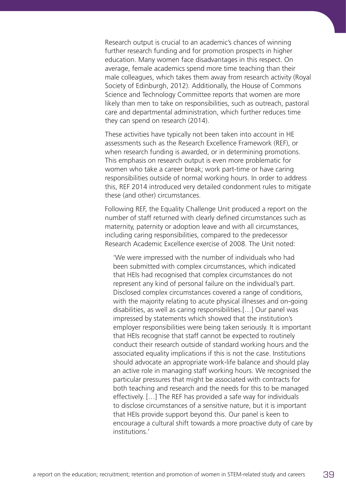Research output is crucial to an academic's chances of winning further research funding and for promotion prospects in higher education. Many women face disadvantages in this respect. On average, female academics spend more time teaching than their male colleagues, which takes them away from research activity (Royal Society of Edinburgh, 2012). Additionally, the House of Commons Science and Technology Committee reports that women are more likely than men to take on responsibilities, such as outreach, pastoral care and departmental administration, which further reduces time they can spend on research (2014).

These activities have typically not been taken into account in HE assessments such as the Research Excellence Framework (REF), or when research funding is awarded, or in determining promotions. This emphasis on research output is even more problematic for women who take a career break; work part-time or have caring responsibilities outside of normal working hours. In order to address this, REF 2014 introduced very detailed condonment rules to mitigate these (and other) circumstances.

Following REF, the Equality Challenge Unit produced a report on the number of staff returned with clearly defined circumstances such as maternity, paternity or adoption leave and with all circumstances, including caring responsibilities, compared to the predecessor Research Academic Excellence exercise of 2008. The Unit noted:

 'We were impressed with the number of individuals who had been submitted with complex circumstances, which indicated that HEIs had recognised that complex circumstances do not represent any kind of personal failure on the individual's part. Disclosed complex circumstances covered a range of conditions, with the majority relating to acute physical illnesses and on-going disabilities, as well as caring responsibilities.[…] Our panel was impressed by statements which showed that the institution's employer responsibilities were being taken seriously. It is important that HEIs recognise that staff cannot be expected to routinely conduct their research outside of standard working hours and the associated equality implications if this is not the case. Institutions should advocate an appropriate work-life balance and should play an active role in managing staff working hours. We recognised the particular pressures that might be associated with contracts for both teaching and research and the needs for this to be managed effectively. […] The REF has provided a safe way for individuals to disclose circumstances of a sensitive nature, but it is important that HEIs provide support beyond this. Our panel is keen to encourage a cultural shift towards a more proactive duty of care by institutions.'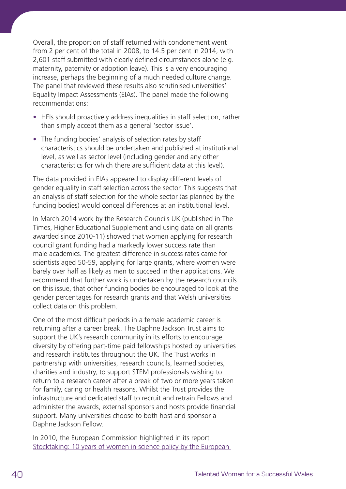Overall, the proportion of staff returned with condonement went from 2 per cent of the total in 2008, to 14.5 per cent in 2014, with 2,601 staff submitted with clearly defined circumstances alone (e.g. maternity, paternity or adoption leave). This is a very encouraging increase, perhaps the beginning of a much needed culture change. The panel that reviewed these results also scrutinised universities' Equality Impact Assessments (EIAs). The panel made the following recommendations:

- **•** HEIs should proactively address inequalities in staff selection, rather than simply accept them as a general 'sector issue'.
- **•** The funding bodies' analysis of selection rates by staff characteristics should be undertaken and published at institutional level, as well as sector level (including gender and any other characteristics for which there are sufficient data at this level).

The data provided in EIAs appeared to display different levels of gender equality in staff selection across the sector. This suggests that an analysis of staff selection for the whole sector (as planned by the funding bodies) would conceal differences at an institutional level.

In March 2014 work by the Research Councils UK (published in The Times, Higher Educational Supplement and using data on all grants awarded since 2010-11) showed that women applying for research council grant funding had a markedly lower success rate than male academics. The greatest difference in success rates came for scientists aged 50-59, applying for large grants, where women were barely over half as likely as men to succeed in their applications. We recommend that further work is undertaken by the research councils on this issue, that other funding bodies be encouraged to look at the gender percentages for research grants and that Welsh universities collect data on this problem.

One of the most difficult periods in a female academic career is returning after a career break. The Daphne Jackson Trust aims to support the UK's research community in its efforts to encourage diversity by offering part-time paid fellowships hosted by universities and research institutes throughout the UK. The Trust works in partnership with universities, research councils, learned societies, charities and industry, to support STEM professionals wishing to return to a research career after a break of two or more years taken for family, caring or health reasons. Whilst the Trust provides the infrastructure and dedicated staff to recruit and retrain Fellows and administer the awards, external sponsors and hosts provide financial support. Many universities choose to both host and sponsor a Daphne Jackson Fellow.

In 2010, the European Commission highlighted in its report [Stocktaking: 10 years of women in science policy by the European](http://ec.europa.eu/research/science-society/document_library/pdf_06/stocktaking-10-years-of-women-in-science-book_en.pdf)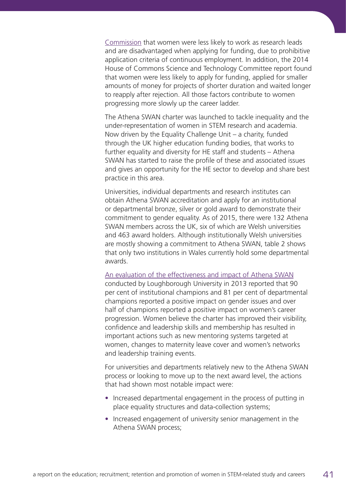[Commission](http://ec.europa.eu/research/science-society/document_library/pdf_06/stocktaking-10-years-of-women-in-science-book_en.pdf) that women were less likely to work as research leads and are disadvantaged when applying for funding, due to prohibitive application criteria of continuous employment. In addition, the 2014 House of Commons Science and Technology Committee report found that women were less likely to apply for funding, applied for smaller amounts of money for projects of shorter duration and waited longer to reapply after rejection. All those factors contribute to women progressing more slowly up the career ladder.

The Athena SWAN charter was launched to tackle inequality and the under-representation of women in STEM research and academia. Now driven by the Equality Challenge Unit – a charity, funded through the UK higher education funding bodies, that works to further equality and diversity for HE staff and students – Athena SWAN has started to raise the profile of these and associated issues and gives an opportunity for the HE sector to develop and share best practice in this area.

Universities, individual departments and research institutes can obtain Athena SWAN accreditation and apply for an institutional or departmental bronze, silver or gold award to demonstrate their commitment to gender equality. As of 2015, there were 132 Athena SWAN members across the UK, six of which are Welsh universities and 463 award holders. Although institutionally Welsh universities are mostly showing a commitment to Athena SWAN, table 2 shows that only two institutions in Wales currently hold some departmental awards.

# [An evaluation of the effectiveness and impact of Athena SWAN](http://www.ecu.ac.uk/wp-content/uploads/external/evaluating-the-effectiveness-and-impact-of-the-athena-swan-charter.pdf)

conducted by Loughborough University in 2013 reported that 90 per cent of institutional champions and 81 per cent of departmental champions reported a positive impact on gender issues and over half of champions reported a positive impact on women's career progression. Women believe the charter has improved their visibility, confidence and leadership skills and membership has resulted in important actions such as new mentoring systems targeted at women, changes to maternity leave cover and women's networks and leadership training events.

For universities and departments relatively new to the Athena SWAN process or looking to move up to the next award level, the actions that had shown most notable impact were:

- **•** Increased departmental engagement in the process of putting in place equality structures and data-collection systems;
- **•** Increased engagement of university senior management in the Athena SWAN process;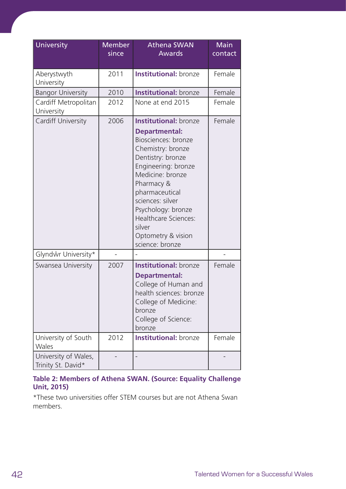| University                                 | <b>Member</b><br>since | <b>Athena SWAN</b><br><b>Awards</b>                                                                                                                                                                                                                                                                                          | <b>Main</b><br>contact |
|--------------------------------------------|------------------------|------------------------------------------------------------------------------------------------------------------------------------------------------------------------------------------------------------------------------------------------------------------------------------------------------------------------------|------------------------|
| Aberystwyth<br>University                  | 2011                   | <b>Institutional:</b> bronze                                                                                                                                                                                                                                                                                                 | Female                 |
| <b>Bangor University</b>                   | 2010                   | <b>Institutional:</b> bronze                                                                                                                                                                                                                                                                                                 | Female                 |
| Cardiff Metropolitan<br>University         | 2012                   | None at end 2015                                                                                                                                                                                                                                                                                                             | Female                 |
| Cardiff University                         | 2006                   | <b>Institutional: bronze</b><br><b>Departmental:</b><br>Biosciences: bronze<br>Chemistry: bronze<br>Dentistry: bronze<br>Engineering: bronze<br>Medicine: bronze<br>Pharmacy &<br>pharmaceutical<br>sciences: silver<br>Psychology: bronze<br><b>Healthcare Sciences:</b><br>silver<br>Optometry & vision<br>science: bronze | Female                 |
| Glyndŵr University*                        |                        |                                                                                                                                                                                                                                                                                                                              |                        |
| Swansea University                         | 2007                   | <b>Institutional: bronze</b><br><b>Departmental:</b><br>College of Human and<br>health sciences: bronze<br>College of Medicine:<br>bronze<br>College of Science:<br>bronze                                                                                                                                                   | Female                 |
| University of South<br>Wales               | 2012                   | <b>Institutional:</b> bronze                                                                                                                                                                                                                                                                                                 | Female                 |
| University of Wales,<br>Trinity St. David* |                        |                                                                                                                                                                                                                                                                                                                              |                        |

# **Table 2: Members of Athena SWAN. (Source: Equality Challenge Unit, 2015)**

\*These two universities offer STEM courses but are not Athena Swan members.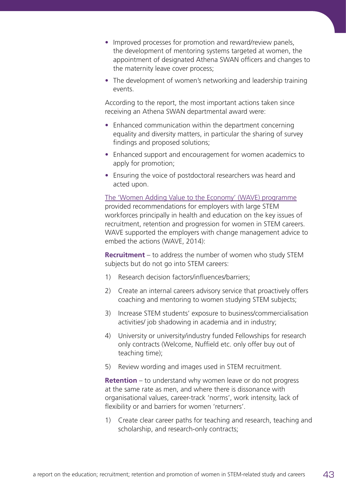- **•** Improved processes for promotion and reward/review panels, the development of mentoring systems targeted at women, the appointment of designated Athena SWAN officers and changes to the maternity leave cover process;
- **•** The development of women's networking and leadership training events.

According to the report, the most important actions taken since receiving an Athena SWAN departmental award were:

- **•** Enhanced communication within the department concerning equality and diversity matters, in particular the sharing of survey findings and proposed solutions;
- **•** Enhanced support and encouragement for women academics to apply for promotion;
- **•** Ensuring the voice of postdoctoral researchers was heard and acted upon.

[The 'Women Adding Value to the Economy' \(WAVE\) programme](http://www.cardiff.ac.uk/research/explore/research-units/women-adding-value-to-the-economy-wave) provided recommendations for employers with large STEM workforces principally in health and education on the key issues of recruitment, retention and progression for women in STEM careers. WAVE supported the employers with change management advice to embed the actions (WAVE, 2014):

**Recruitment** – to address the number of women who study STEM subjects but do not go into STEM careers:

- 1) Research decision factors/influences/barriers;
- 2) Create an internal careers advisory service that proactively offers coaching and mentoring to women studying STEM subjects;
- 3) Increase STEM students' exposure to business/commercialisation activities/ job shadowing in academia and in industry;
- 4) University or university/industry funded Fellowships for research only contracts (Welcome, Nuffield etc. only offer buy out of teaching time);
- 5) Review wording and images used in STEM recruitment.

**Retention** – to understand why women leave or do not progress at the same rate as men, and where there is dissonance with organisational values, career-track 'norms', work intensity, lack of flexibility or and barriers for women 'returners'.

1) Create clear career paths for teaching and research, teaching and scholarship, and research-only contracts;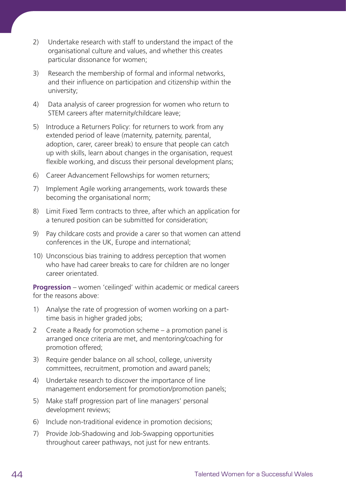- 2) Undertake research with staff to understand the impact of the organisational culture and values, and whether this creates particular dissonance for women;
- 3) Research the membership of formal and informal networks, and their influence on participation and citizenship within the university;
- 4) Data analysis of career progression for women who return to STEM careers after maternity/childcare leave;
- 5) Introduce a Returners Policy: for returners to work from any extended period of leave (maternity, paternity, parental, adoption, carer, career break) to ensure that people can catch up with skills, learn about changes in the organisation, request flexible working, and discuss their personal development plans;
- 6) Career Advancement Fellowships for women returners;
- 7) Implement Agile working arrangements, work towards these becoming the organisational norm;
- 8) Limit Fixed Term contracts to three, after which an application for a tenured position can be submitted for consideration;
- 9) Pay childcare costs and provide a carer so that women can attend conferences in the UK, Europe and international;
- 10) Unconscious bias training to address perception that women who have had career breaks to care for children are no longer career orientated.

**Progression** – women 'ceilinged' within academic or medical careers for the reasons above:

- 1) Analyse the rate of progression of women working on a parttime basis in higher graded jobs;
- 2 Create a Ready for promotion scheme a promotion panel is arranged once criteria are met, and mentoring/coaching for promotion offered;
- 3) Require gender balance on all school, college, university committees, recruitment, promotion and award panels;
- 4) Undertake research to discover the importance of line management endorsement for promotion/promotion panels;
- 5) Make staff progression part of line managers' personal development reviews;
- 6) Include non-traditional evidence in promotion decisions;
- 7) Provide Job-Shadowing and Job-Swapping opportunities throughout career pathways, not just for new entrants.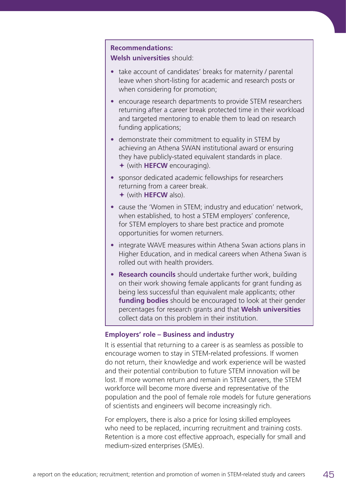## **Recommendations:**

**Welsh universities** should:

- **•** take account of candidates' breaks for maternity / parental leave when short-listing for academic and research posts or when considering for promotion;
- **•** encourage research departments to provide STEM researchers returning after a career break protected time in their workload and targeted mentoring to enable them to lead on research funding applications;
- **•** demonstrate their commitment to equality in STEM by achieving an Athena SWAN institutional award or ensuring they have publicly-stated equivalent standards in place. ª (with **HEFCW** encouraging).
- **•** sponsor dedicated academic fellowships for researchers returning from a career break. ª (with **HEFCW** also).
- **•** cause the 'Women in STEM; industry and education' network, when established, to host a STEM employers' conference, for STEM employers to share best practice and promote opportunities for women returners.
- **•** integrate WAVE measures within Athena Swan actions plans in Higher Education, and in medical careers when Athena Swan is rolled out with health providers.
- **• Research councils** should undertake further work, building on their work showing female applicants for grant funding as being less successful than equivalent male applicants; other **funding bodies** should be encouraged to look at their gender percentages for research grants and that **Welsh universities**  collect data on this problem in their institution.

## **Employers' role – Business and industry**

It is essential that returning to a career is as seamless as possible to encourage women to stay in STEM-related professions. If women do not return, their knowledge and work experience will be wasted and their potential contribution to future STEM innovation will be lost. If more women return and remain in STEM careers, the STEM workforce will become more diverse and representative of the population and the pool of female role models for future generations of scientists and engineers will become increasingly rich.

For employers, there is also a price for losing skilled employees who need to be replaced, incurring recruitment and training costs. Retention is a more cost effective approach, especially for small and medium-sized enterprises (SMEs).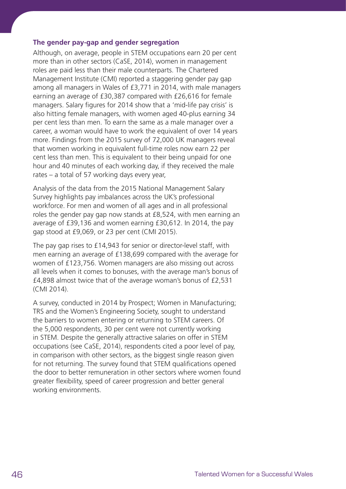## **The gender pay-gap and gender segregation**

Although, on average, people in STEM occupations earn 20 per cent more than in other sectors (CaSE, 2014), women in management roles are paid less than their male counterparts. The Chartered Management Institute (CMI) reported a staggering gender pay gap among all managers in Wales of £3,771 in 2014, with male managers earning an average of £30,387 compared with £26,616 for female managers. Salary figures for 2014 show that a 'mid-life pay crisis' is also hitting female managers, with women aged 40-plus earning 34 per cent less than men. To earn the same as a male manager over a career, a woman would have to work the equivalent of over 14 years more. Findings from the 2015 survey of 72,000 UK managers reveal that women working in equivalent full-time roles now earn 22 per cent less than men. This is equivalent to their being unpaid for one hour and 40 minutes of each working day, if they received the male rates – a total of 57 working days every year,

Analysis of the data from the 2015 National Management Salary Survey highlights pay imbalances across the UK's professional workforce. For men and women of all ages and in all professional roles the gender pay gap now stands at £8,524, with men earning an average of £39,136 and women earning £30,612. In 2014, the pay gap stood at £9,069, or 23 per cent (CMI 2015).

The pay gap rises to £14,943 for senior or director-level staff, with men earning an average of £138,699 compared with the average for women of £123,756. Women managers are also missing out across all levels when it comes to bonuses, with the average man's bonus of £4,898 almost twice that of the average woman's bonus of £2,531 (CMI 2014).

A survey, conducted in 2014 by Prospect; Women in Manufacturing; TRS and the Women's Engineering Society, sought to understand the barriers to women entering or returning to STEM careers. Of the 5,000 respondents, 30 per cent were not currently working in STEM. Despite the generally attractive salaries on offer in STEM occupations (see CaSE, 2014), respondents cited a poor level of pay, in comparison with other sectors, as the biggest single reason given for not returning. The survey found that STEM qualifications opened the door to better remuneration in other sectors where women found greater flexibility, speed of career progression and better general working environments.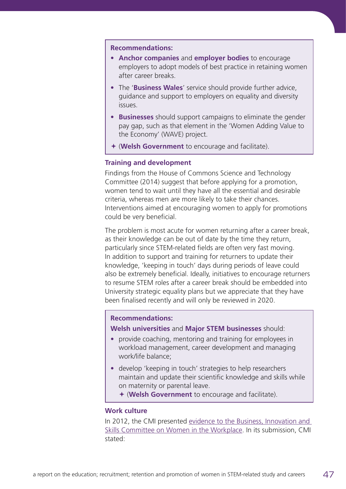#### **Recommendations:**

- **• Anchor companies** and **employer bodies** to encourage employers to adopt models of best practice in retaining women after career breaks.
- **•** The '**Business Wales**' service should provide further advice, guidance and support to employers on equality and diversity issues.
- **• Businesses** should support campaigns to eliminate the gender pay gap, such as that element in the 'Women Adding Value to the Economy' (WAVE) project.
- ª (**Welsh Government** to encourage and facilitate).

## **Training and development**

Findings from the House of Commons Science and Technology Committee (2014) suggest that before applying for a promotion, women tend to wait until they have all the essential and desirable criteria, whereas men are more likely to take their chances. Interventions aimed at encouraging women to apply for promotions could be very beneficial.

The problem is most acute for women returning after a career break, as their knowledge can be out of date by the time they return, particularly since STEM-related fields are often very fast moving. In addition to support and training for returners to update their knowledge, 'keeping in touch' days during periods of leave could also be extremely beneficial. Ideally, initiatives to encourage returners to resume STEM roles after a career break should be embedded into University strategic equality plans but we appreciate that they have been finalised recently and will only be reviewed in 2020.

#### **Recommendations:**

**Welsh universities** and **Major STEM businesses** should:

- **•** provide coaching, mentoring and training for employees in workload management, career development and managing work/life balance;
- **•** develop 'keeping in touch' strategies to help researchers maintain and update their scientific knowledge and skills while on maternity or parental leave.

ª (**Welsh Government** to encourage and facilitate).

## **Work culture**

In 2012, the CMI presented [evidence to the Business, Innovation and](http://www.managers.org.uk/~/media/Angela%20Media%20Library/pdfs/Policies/Women%20in%20the%20Workplace.pdf)  [Skills Committee on Women in the Workplace.](http://www.managers.org.uk/~/media/Angela%20Media%20Library/pdfs/Policies/Women%20in%20the%20Workplace.pdf) In its submission, CMI stated: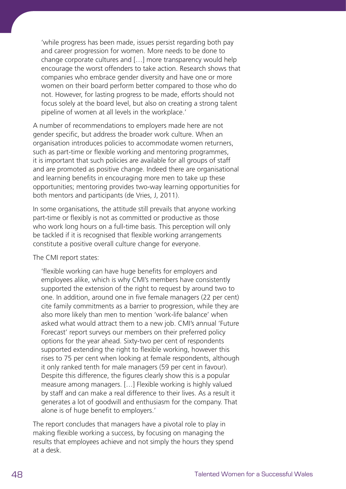'while progress has been made, issues persist regarding both pay and career progression for women. More needs to be done to change corporate cultures and […] more transparency would help encourage the worst offenders to take action. Research shows that companies who embrace gender diversity and have one or more women on their board perform better compared to those who do not. However, for lasting progress to be made, efforts should not focus solely at the board level, but also on creating a strong talent pipeline of women at all levels in the workplace.'

A number of recommendations to employers made here are not gender specific, but address the broader work culture. When an organisation introduces policies to accommodate women returners, such as part-time or flexible working and mentoring programmes, it is important that such policies are available for all groups of staff and are promoted as positive change. Indeed there are organisational and learning benefits in encouraging more men to take up these opportunities; mentoring provides two-way learning opportunities for both mentors and participants (de Vries, J, 2011).

In some organisations, the attitude still prevails that anyone working part-time or flexibly is not as committed or productive as those who work long hours on a full-time basis. This perception will only be tackled if it is recognised that flexible working arrangements constitute a positive overall culture change for everyone.

The CMI report states:

 'flexible working can have huge benefits for employers and employees alike, which is why CMI's members have consistently supported the extension of the right to request by around two to one. In addition, around one in five female managers (22 per cent) cite family commitments as a barrier to progression, while they are also more likely than men to mention 'work-life balance' when asked what would attract them to a new job. CMI's annual 'Future Forecast' report surveys our members on their preferred policy options for the year ahead. Sixty-two per cent of respondents supported extending the right to flexible working, however this rises to 75 per cent when looking at female respondents, although it only ranked tenth for male managers (59 per cent in favour). Despite this difference, the figures clearly show this is a popular measure among managers. […] Flexible working is highly valued by staff and can make a real difference to their lives. As a result it generates a lot of goodwill and enthusiasm for the company. That alone is of huge benefit to employers.'

The report concludes that managers have a pivotal role to play in making flexible working a success, by focusing on managing the results that employees achieve and not simply the hours they spend at a desk.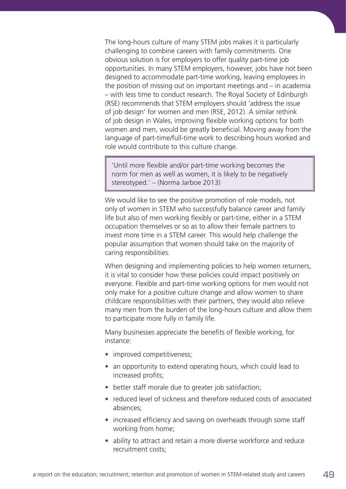The long-hours culture of many STEM jobs makes it is particularly challenging to combine careers with family commitments. One obvious solution is for employers to offer quality part-time job opportunities. In many STEM employers, however, jobs have not been designed to accommodate part-time working, leaving employees in the position of missing out on important meetings and – in academia – with less time to conduct research. The Royal Society of Edinburgh (RSE) recommends that STEM employers should 'address the issue of job design' for women and men (RSE, 2012). A similar rethink of job design in Wales, improving flexible working options for both women and men, would be greatly beneficial. Moving away from the language of part-time/full-time work to describing hours worked and role would contribute to this culture change.

'Until more flexible and/or part-time working becomes the norm for men as well as women, it is likely to be negatively stereotyped.' – (Norma Jarboe 2013)

We would like to see the positive promotion of role models, not only of women in STEM who successfully balance career and family life but also of men working flexibly or part-time, either in a STEM occupation themselves or so as to allow their female partners to invest more time in a STEM career. This would help challenge the popular assumption that women should take on the majority of caring responsibilities.

When designing and implementing policies to help women returners, it is vital to consider how these policies could impact positively on everyone. Flexible and part-time working options for men would not only make for a positive culture change and allow women to share childcare responsibilities with their partners, they would also relieve many men from the burden of the long-hours culture and allow them to participate more fully in family life.

Many businesses appreciate the benefits of flexible working, for instance:

- improved competitiveness;
- **•** an opportunity to extend operating hours, which could lead to increased profits;
- **•** better staff morale due to greater job satisfaction;
- **•** reduced level of sickness and therefore reduced costs of associated absences;
- **•** increased efficiency and saving on overheads through some staff working from home;
- **•** ability to attract and retain a more diverse workforce and reduce recruitment costs;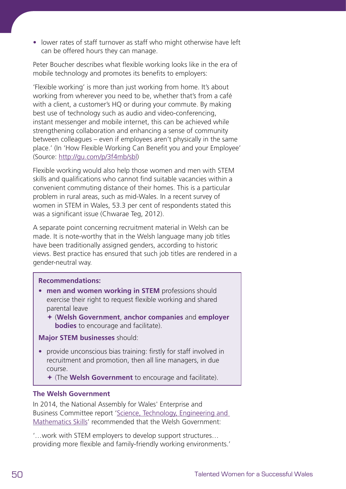**•** lower rates of staff turnover as staff who might otherwise have left can be offered hours they can manage.

Peter Boucher describes what flexible working looks like in the era of mobile technology and promotes its benefits to employers:

'Flexible working' is more than just working from home. It's about working from wherever you need to be, whether that's from a café with a client, a customer's HQ or during your commute. By making best use of technology such as audio and video-conferencing, instant messenger and mobile internet, this can be achieved while strengthening collaboration and enhancing a sense of community between colleagues – even if employees aren't physically in the same place.' (In 'How Flexible Working Can Benefit you and your Employee' (Source: [http://gu.com/p/3f4mb/sbl\)](http://gu.com/p/3f4mb/sbl)

Flexible working would also help those women and men with STEM skills and qualifications who cannot find suitable vacancies within a convenient commuting distance of their homes. This is a particular problem in rural areas, such as mid-Wales. In a recent survey of women in STEM in Wales, 53.3 per cent of respondents stated this was a significant issue (Chwarae Teg, 2012).

A separate point concerning recruitment material in Welsh can be made. It is note-worthy that in the Welsh language many job titles have been traditionally assigned genders, according to historic views. Best practice has ensured that such job titles are rendered in a gender-neutral way.

## **Recommendations:**

- **• men and women working in STEM** professions should exercise their right to request flexible working and shared parental leave
	- ª (**Welsh Government**, **anchor companies** and **employer bodies** to encourage and facilitate).

**Major STEM businesses** should:

**•** provide unconscious bias training: firstly for staff involved in recruitment and promotion, then all line managers, in due course.

ª (The **Welsh Government** to encourage and facilitate).

## **The Welsh Government**

In 2014, the National Assembly for Wales' Enterprise and Business Committee report ['Science, Technology, Engineering and](http://www.senedd.assembly.wales/documents/s31151/Report%20-%20September%202014.pdf)  [Mathematics Skills'](http://www.senedd.assembly.wales/documents/s31151/Report%20-%20September%202014.pdf) recommended that the Welsh Government:

'…work with STEM employers to develop support structures… providing more flexible and family-friendly working environments.'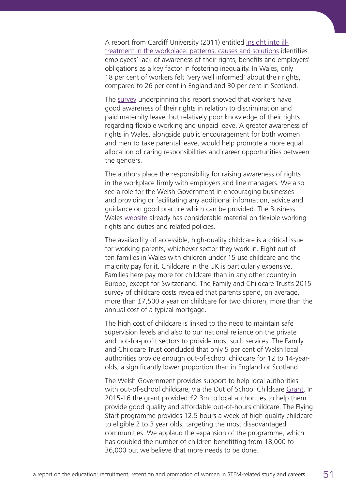A report from Cardiff University (2011) entitled [Insight into ill](http://www.cardiff.ac.uk/socsi/resources/insight11.pdf)[treatment in the workplace: patterns, causes and solutions](http://www.cardiff.ac.uk/socsi/resources/insight11.pdf) identifies employees' lack of awareness of their rights, benefits and employers' obligations as a key factor in fostering inequality. In Wales, only 18 per cent of workers felt 'very well informed' about their rights, compared to 26 per cent in England and 30 per cent in Scotland.

The [survey](http://www.cardiff.ac.uk/socsi/resources/insight11ax.pdf) underpinning this report showed that workers have good awareness of their rights in relation to discrimination and paid maternity leave, but relatively poor knowledge of their rights regarding flexible working and unpaid leave. A greater awareness of rights in Wales, alongside public encouragement for both women and men to take parental leave, would help promote a more equal allocation of caring responsibilities and career opportunities between the genders.

The authors place the responsibility for raising awareness of rights in the workplace firmly with employers and line managers. We also see a role for the Welsh Government in encouraging businesses and providing or facilitating any additional information, advice and guidance on good practice which can be provided. The Business Wales [website](http://business.wales.gov.uk/govuk/flexible-working/overview) already has considerable material on flexible working rights and duties and related policies.

The availability of accessible, high-quality childcare is a critical issue for working parents, whichever sector they work in. Eight out of ten families in Wales with children under 15 use childcare and the majority pay for it. Childcare in the UK is particularly expensive. Families here pay more for childcare than in any other country in Europe, except for Switzerland. The Family and Childcare Trust's 2015 survey of childcare costs revealed that parents spend, on average, more than £7,500 a year on childcare for two children, more than the annual cost of a typical mortgage.

The high cost of childcare is linked to the need to maintain safe supervision levels and also to our national reliance on the private and not-for-profit sectors to provide most such services. The Family and Childcare Trust concluded that only 5 per cent of Welsh local authorities provide enough out-of-school childcare for 12 to 14-yearolds, a significantly lower proportion than in England or Scotland.

The Welsh Government provides support to help local authorities with out-of-school childcare, via the Out of School Childcare [Grant](http://gov.wales/newsroom/people-and-communities/2014/141218-funding-out-of-school-childcare/?lang=en). In 2015-16 the grant provided £2.3m to local authorities to help them provide good quality and affordable out-of-hours childcare. The Flying Start programme provides 12.5 hours a week of high quality childcare to eligible 2 to 3 year olds, targeting the most disadvantaged communities. We applaud the expansion of the programme, which has doubled the number of children benefitting from 18,000 to 36,000 but we believe that more needs to be done.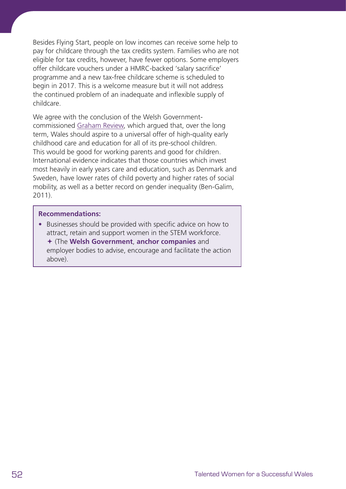Besides Flying Start, people on low incomes can receive some help to pay for childcare through the tax credits system. Families who are not eligible for tax credits, however, have fewer options. Some employers offer childcare vouchers under a HMRC-backed 'salary sacrifice' programme and a new tax-free childcare scheme is scheduled to begin in 2017. This is a welcome measure but it will not address the continued problem of an inadequate and inflexible supply of childcare.

We agree with the conclusion of the Welsh Governmentcommissioned [Graham Review,](http://gov.wales/topics/educationandskills/earlyyearshome/independent-review-of-childcare-and-early-education-registration-regulation-and-inspection-exectutive-summary-and-recommendations/?lang=en) which argued that, over the long term, Wales should aspire to a universal offer of high-quality early childhood care and education for all of its pre-school children. This would be good for working parents and good for children. International evidence indicates that those countries which invest most heavily in early years care and education, such as Denmark and Sweden, have lower rates of child poverty and higher rates of social mobility, as well as a better record on gender inequality (Ben-Galim, 2011).

#### **Recommendations:**

**•** Businesses should be provided with specific advice on how to attract, retain and support women in the STEM workforce. ª (The **Welsh Government**, **anchor companies** and employer bodies to advise, encourage and facilitate the action above).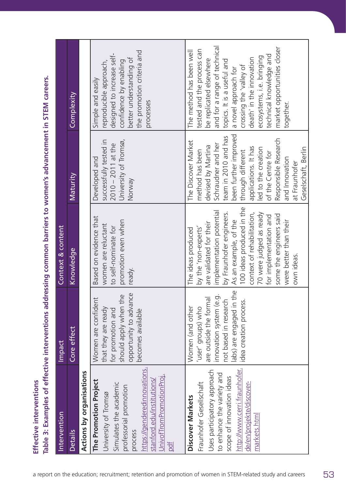| Intervention                                                                                                                                                                                                      | Impact                                                                                                                                                                                    | Context & content                                                                                                                                                                                                                                                                                                                         |                                                                                                                                                                                                                                                                                                                |                                                                                                                                                                                                                                                                                                                                    |
|-------------------------------------------------------------------------------------------------------------------------------------------------------------------------------------------------------------------|-------------------------------------------------------------------------------------------------------------------------------------------------------------------------------------------|-------------------------------------------------------------------------------------------------------------------------------------------------------------------------------------------------------------------------------------------------------------------------------------------------------------------------------------------|----------------------------------------------------------------------------------------------------------------------------------------------------------------------------------------------------------------------------------------------------------------------------------------------------------------|------------------------------------------------------------------------------------------------------------------------------------------------------------------------------------------------------------------------------------------------------------------------------------------------------------------------------------|
| <b>Details</b>                                                                                                                                                                                                    | effect<br>Core                                                                                                                                                                            | Knowledge                                                                                                                                                                                                                                                                                                                                 | Maturity                                                                                                                                                                                                                                                                                                       | Complexity                                                                                                                                                                                                                                                                                                                         |
| <b>Actions by organisations</b>                                                                                                                                                                                   |                                                                                                                                                                                           |                                                                                                                                                                                                                                                                                                                                           |                                                                                                                                                                                                                                                                                                                |                                                                                                                                                                                                                                                                                                                                    |
| https://genderedinnovations.<br>JnivofTromPromotionProj.<br>The Promotion Project<br>stanford.edu/institutions,<br>Simulates the academic<br>professorial promotion<br>University of Tromsø<br>process<br>pdf     | opportunity to advance<br>should apply when the<br>$\overline{\phantom{0}}$<br>Women are confiden<br>that they are ready<br>for promotion and<br>becomes available                        | Based on evidence that<br>promotion even when<br>women are reluctant<br>to self-nominate for<br>ready.                                                                                                                                                                                                                                    | successfully tested in<br>University of Tromsø,<br>$2010 - 2011$ at the<br>Developed and<br>Norway                                                                                                                                                                                                             | the promotion criteria and<br>designed to increase self-<br>better understanding of<br>confidence by enabling<br>reproducible approach,<br>Simple and easily<br>processes                                                                                                                                                          |
| http://www.cerri.fraunhofer.<br>Uses participatory approach<br>to enhance the variety and<br>scope of innovation ideas<br>Fraunhofer Gesellschaft<br>de/en/projekte/discover-<br>Discover Markets<br>markets.html | the<br>$\dot{\circ}$<br>are outside the formal<br>not based in research<br>idea creation process<br>innovation system (e.<br>abs) are engaged in<br>Women (and other<br>user' groups) who | 100 ideas produced in the<br>implementation potential<br>by Fraunhofer engineers.<br>context of rehabilitation,<br>70 were judged as ready<br>some the engineers said<br>for implementation and<br>As an example, of the<br>were better than their<br>are validated for their<br>by the 'non-experts'<br>The ideas produced<br>own ideas. | been further improved<br>team in 2010 and has<br>Responsible Research<br>The Discover Market<br>Schraudner and her<br>devised by Martina<br>applications. It has<br>Geselschaft, Berlin<br>led to the creation<br>method has been<br>through different<br>of the Centre for<br>and Innovation<br>at Fraunhofer | and for a range of technical<br>market opportunities closer<br>tested and the process can<br>The method has been well<br>technical knowledge and<br>ecosystems, i.e. bringing<br>death' in the innovation<br>be replicated elsewhere<br>topics. It is a useful and<br>crossing the 'valley of<br>a novel approach for<br>together. |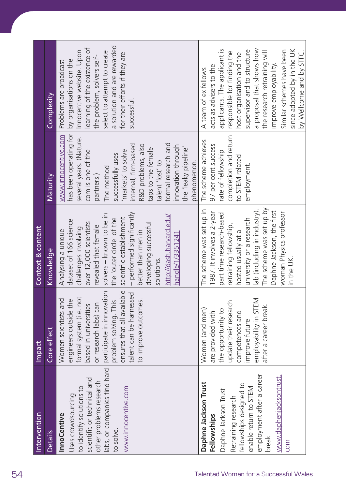|                                       | Intervention                                                                                                                                                                                                    | <b>Impact</b>                                                                                                                                                                                                                                                     | Context & content                                                                                                                                                                                                                                                                                                                                     |                                                                                                                                                                                                                                                                                                                                                  |                                                                                                                                                                                                                                                                                                                                                          |
|---------------------------------------|-----------------------------------------------------------------------------------------------------------------------------------------------------------------------------------------------------------------|-------------------------------------------------------------------------------------------------------------------------------------------------------------------------------------------------------------------------------------------------------------------|-------------------------------------------------------------------------------------------------------------------------------------------------------------------------------------------------------------------------------------------------------------------------------------------------------------------------------------------------------|--------------------------------------------------------------------------------------------------------------------------------------------------------------------------------------------------------------------------------------------------------------------------------------------------------------------------------------------------|----------------------------------------------------------------------------------------------------------------------------------------------------------------------------------------------------------------------------------------------------------------------------------------------------------------------------------------------------------|
|                                       | Details                                                                                                                                                                                                         | Core effect                                                                                                                                                                                                                                                       | Knowledge                                                                                                                                                                                                                                                                                                                                             | Maturity                                                                                                                                                                                                                                                                                                                                         | Complexity                                                                                                                                                                                                                                                                                                                                               |
|                                       | labs, or companies find hard<br>scientific or technical and<br>other problems research<br>to identify solutions to<br>www.innocentive.com<br>Uses crowdsourcing<br><b>InnoCentive</b><br>to solve.              | ensures that all available<br>participate in innovation<br>talent can be harnessed<br>engineers outside the<br>formal system (i.e. not<br>Women scientists and<br>to improve outcomes.<br>problem solving. This<br>or research labs) can<br>based in universities | - performed significantly<br>solvers - known to be in<br>http://dash.harvard.edu/<br>scientific establishment<br>the 'outer circle' of the<br>dataset of 166 science<br>over 12,000 scientists<br>developing successful<br>revealed that female<br>challenges involving<br>Analysing a unique<br>better than men in<br>handle/1/3351241<br>solutions. | has been operating for<br>www.innocentive.com<br>several years. (Nature.<br>formal research and<br>internal, firm-based<br>R&D problems, also<br>innovation through<br>the 'leaky pipeline'<br>taps to the female<br>com is one of the<br>'markets' to solve<br>successfully uses<br>phenomenon.<br>talent 'lost' to<br>The method<br>partners.) | a solution and are rewarded<br>earning of the existence of<br>Innocentive website. Upon<br>select to attempt to create<br>for their efforts if they are<br>the problem, solvers self-<br>by organisations on the<br>Problems are broadcast<br>successful.                                                                                                |
| Talented Women for a Successful Wales | employment after a career<br>www.daphenjacksontrust.<br>Daphne Jackson Trust<br>fellowships designed to<br>enable return to STEM<br>Daphne Jackson Trust<br>Retraining research<br>Fellowships<br>break.<br>COM | employability in STEM<br>update their research<br>after a career break.<br>Women (and men)<br>the opportunity to<br>are provided with<br>competences and<br>improve future                                                                                        | The scheme was set up by<br>lab (including in industry).<br>The scheme was set up in<br>Daphne Jackson, the first<br>1987. It involves a 2-year<br>woman Physics professor<br>part time research-based<br>university or a research<br>retraining fellowship,<br>hosted usually at a<br>in the UK.                                                     | completion and return<br>The scheme achieves<br>97 per cent success<br>rate of fellowship<br>to STEM related<br>employment.                                                                                                                                                                                                                      | a proposal that shows how<br>applicants. The applicant is<br>since adopted by in the UK<br>supervisor and to structure<br>Similar schemes have been<br>by Wellcome and by STFC.<br>responsible for finding the<br>the research retraining will<br>host organisation and the<br>improve employability.<br>acts as advisers to the<br>A team of ex fellows |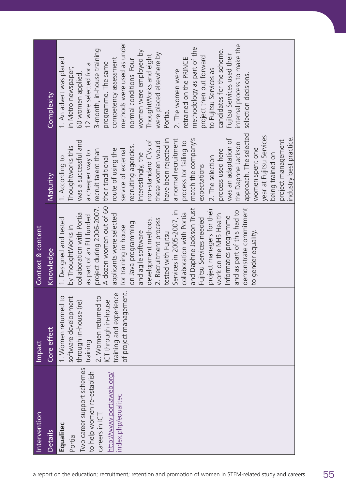|                                                                                                            | Intervention               | <b>Impact</b>                                 | Context & content          |                          |                              |
|------------------------------------------------------------------------------------------------------------|----------------------------|-----------------------------------------------|----------------------------|--------------------------|------------------------------|
| a report on the education; recruitment; retention and promotion of women in STEM-related study and careers | <b>Details</b>             | Core effect                                   | Knowledge                  | <b>Maturity</b>          | Complexity                   |
|                                                                                                            | Equalitec                  | $\overline{c}$<br>1. Women returned           | 1. Designed and tested     | 1. According to          | 1. An advert was placed      |
|                                                                                                            | Portia                     | software development<br>through in-house (re) | by ThoughtWorks in         | Thoughtworks this        | in Metro newspaper;          |
|                                                                                                            | Two career support schemes |                                               | collaboration with Portia  | was a successful and     | 60 women applied,            |
|                                                                                                            | to help women re-establish | training                                      | as part of an EU funded    | a cheaper way to         | 12 were selected for a       |
|                                                                                                            | careers in ICT             | $\overline{C}$<br>2. Women returned           | project during 2006-2007.  | recruit talent than      | 3-month, in-house training   |
|                                                                                                            | http://www.portiaweb.org/  | ICT through in-house                          | A dozen women out of 60    | their traditional        | programme. The same          |
|                                                                                                            |                            | training and experience                       | applicants were selected   | route of using the       | competency assessment        |
|                                                                                                            | index.php/equalitec        | of project management.                        | for training in house      | service of external      | methods were used as under   |
|                                                                                                            |                            |                                               | on Java programming        | recruiting agencies.     | normal conditions. Four      |
|                                                                                                            |                            |                                               | and agile software         | Interestingly, the       | women were employed by       |
|                                                                                                            |                            |                                               | development methods.       | non-standard CVs of      | ThoughtWorks and eight       |
|                                                                                                            |                            |                                               | 2. Recruitment process     | these women would        | were placed elsewhere by     |
|                                                                                                            |                            |                                               | tested with Fujitsu        | have been rejected in    | Portia.                      |
|                                                                                                            |                            |                                               | Services in 2005-2007, in  | a normal recruitment     | 2. The women were            |
|                                                                                                            |                            |                                               | collaboration with Portia  | process for failing to   | retrained on the PRINCE      |
|                                                                                                            |                            |                                               | and Daphne Jackson Trust.  | match the company's      | methodology as part of the   |
|                                                                                                            |                            |                                               | Fujitsu Services needed    | expectations.            | project then put forward     |
|                                                                                                            |                            |                                               | project managers for their | 2. The selection         | to Fujitsu Services as       |
|                                                                                                            |                            |                                               | work on the NHS Health     | process used here        | candidates for the scheme.   |
|                                                                                                            |                            |                                               | Informatics programme      | was an adaptation of     | Fujitsu Services used their  |
|                                                                                                            |                            |                                               | and as part of this had to | the Daphne Jackson       | internal process to make the |
|                                                                                                            |                            |                                               | demonstrate commitment     | approach. The selected   | selection decisions.         |
|                                                                                                            |                            |                                               | to gender equality.        | women spent one          |                              |
|                                                                                                            |                            |                                               |                            | year at Fujitsu Services |                              |
|                                                                                                            |                            |                                               |                            | being trained on         |                              |
|                                                                                                            |                            |                                               |                            | project management       |                              |
|                                                                                                            |                            |                                               |                            | industry best practice.  |                              |
|                                                                                                            |                            |                                               |                            |                          |                              |
|                                                                                                            |                            |                                               |                            |                          |                              |
|                                                                                                            |                            |                                               |                            |                          |                              |
| 55                                                                                                         |                            |                                               |                            |                          |                              |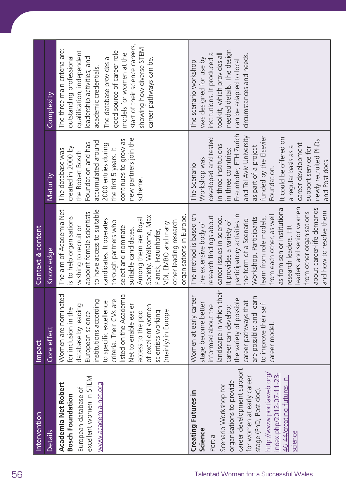| start of their science careers,<br>showing how diverse STEM<br>The three main criteria are:<br>needed details. The design<br>qualification; independent<br>good source of career role<br>models for women at the<br>institutions. It produced a<br>toolkit, which provides all<br>circumstances and needs<br>outstanding professional<br>leadership activities; and<br>The database provides a<br>was designed for use by<br>career pathways can be.<br>can be adapted to local<br>The scenario workshop<br>academic credentials.<br>Complexity<br>Fraunhofer, ETH Zurich<br>and Tel Aviv University<br>funded by the Elsevier<br>It could be offered on<br>new partners join the<br>developed and tested<br>continues to grow as<br>newly recruited PhDs<br>accumulated around<br>Foundation and has<br>career development<br>2000 entries during<br>in three institutions<br>as part of a project<br>a regular basis as a<br>created in 2000 by<br>support service for<br>the first 5 years. It<br>in three countries:<br>The database was<br>the Robert Bosch<br>Workshop was<br>The Scenario<br>Foundation.<br>Maturity<br>scheme.<br>as from senior institutional<br>eaders and senior women<br>about career-life demands<br>The aim of Academia Net<br>to have access to suitable<br>from other organisations<br>appoint female scientists<br>participatory activities in<br>The method is based on<br>from each other, as well<br>Society, Wellcome, Max<br>organisations in Europe.<br>research findings about<br>is to help organisations<br>career issues in science.<br>Workshop. Participants<br>learn from role models,<br>Among them are Royal<br>the form of a Scenario<br>candidates. It operates<br>other leading research<br>It provides a variety of<br>through partners who<br>the extensive body of<br>VDI, EMBO and many<br>wishing to recruit or<br>Context & content<br>select and nominate<br>research leaders, HR<br>suitable candidates.<br>Planck, Fraunhofer,<br>Knowledge<br>andscape in which their<br>Women are nominated<br>listed on the Academia<br>Women at early career<br>are possible; and learn<br>the variety of possible<br>institutions according<br>to specific excellence<br>criteria. Their CVs are<br>career pathways that<br>stage become better<br>to improve their self<br>database by leading<br>Net to enable easier<br>informed about the<br>of excellent women<br>career can develop;<br>for inclusion in the<br>(mainly) in Europe.<br>access to the pool<br>scientists working<br>European science<br>career model<br>Core effect<br><b>Impact</b> |
|------------------------------------------------------------------------------------------------------------------------------------------------------------------------------------------------------------------------------------------------------------------------------------------------------------------------------------------------------------------------------------------------------------------------------------------------------------------------------------------------------------------------------------------------------------------------------------------------------------------------------------------------------------------------------------------------------------------------------------------------------------------------------------------------------------------------------------------------------------------------------------------------------------------------------------------------------------------------------------------------------------------------------------------------------------------------------------------------------------------------------------------------------------------------------------------------------------------------------------------------------------------------------------------------------------------------------------------------------------------------------------------------------------------------------------------------------------------------------------------------------------------------------------------------------------------------------------------------------------------------------------------------------------------------------------------------------------------------------------------------------------------------------------------------------------------------------------------------------------------------------------------------------------------------------------------------------------------------------------------------------------------------------------------------------------------------------------------------------------------------------------------------------------------------------------------------------------------------------------------------------------------------------------------------------------------------------------------------------------------------------------------------------------------------------------------------------------------------------------------------------------------------------------------------------------------------------------------------------------|
| and how to resolve them.                                                                                                                                                                                                                                                                                                                                                                                                                                                                                                                                                                                                                                                                                                                                                                                                                                                                                                                                                                                                                                                                                                                                                                                                                                                                                                                                                                                                                                                                                                                                                                                                                                                                                                                                                                                                                                                                                                                                                                                                                                                                                                                                                                                                                                                                                                                                                                                                                                                                                                                                                                                   |
| and Post docs.                                                                                                                                                                                                                                                                                                                                                                                                                                                                                                                                                                                                                                                                                                                                                                                                                                                                                                                                                                                                                                                                                                                                                                                                                                                                                                                                                                                                                                                                                                                                                                                                                                                                                                                                                                                                                                                                                                                                                                                                                                                                                                                                                                                                                                                                                                                                                                                                                                                                                                                                                                                             |
|                                                                                                                                                                                                                                                                                                                                                                                                                                                                                                                                                                                                                                                                                                                                                                                                                                                                                                                                                                                                                                                                                                                                                                                                                                                                                                                                                                                                                                                                                                                                                                                                                                                                                                                                                                                                                                                                                                                                                                                                                                                                                                                                                                                                                                                                                                                                                                                                                                                                                                                                                                                                            |
|                                                                                                                                                                                                                                                                                                                                                                                                                                                                                                                                                                                                                                                                                                                                                                                                                                                                                                                                                                                                                                                                                                                                                                                                                                                                                                                                                                                                                                                                                                                                                                                                                                                                                                                                                                                                                                                                                                                                                                                                                                                                                                                                                                                                                                                                                                                                                                                                                                                                                                                                                                                                            |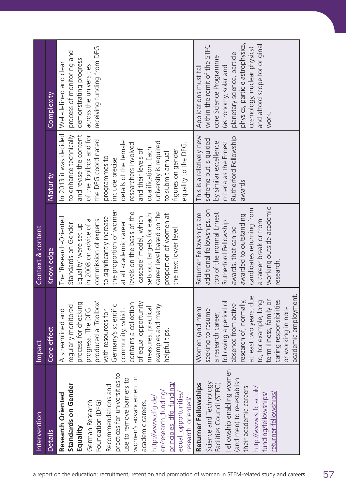| across the universities<br>Applications must fall<br>(astronomy, solar and<br>Complexity<br>work.<br>In 2013 it was decided<br>to enhance technically<br>and revise the content<br>of the Toolbox and for<br>This is a relatively new<br>Rutherford Fellowship<br>scheme but is guided<br>the DFG coordinated<br>details of the female<br>university is required<br>by similar excellence<br>criteria as the Ernest<br>researchers involved<br>equality to the DFG.<br>qualification. Each<br>and their levels of<br>figures on gender<br>to submit annual<br>programmes to<br>include precise<br>Maturity<br>awards.<br>working outside academic<br>candidates returning from<br>the proportion of women<br>additional fellowships, on<br>career level based on the<br>levels on the basis of the<br>top of the normal Ernest<br>Returner Fellowships are<br>proportion of women at<br>sets out targets for each<br>awarded to outstanding<br>'cascade' model, which<br>to significantly increase<br>The 'Research-Oriented<br>a career break or from<br>commission of experts<br>in 2008 on advice of a<br>Rutherford Fellowship<br>at all academic career<br>Standards on Gender<br>Equality' were set up<br>the next lower level.<br>awards, that can be<br>Knowledge<br>research.<br>academic employment.<br>at least two years, due<br>caring responsibilities<br>research of, normally<br>to, for example, long<br>term illness, family or<br>produced a 'Toolbox'<br>following a period of<br>process for checking<br>of equal opportunity<br>contains a collection<br>absence from active<br>examples and many<br>Germany's scientific<br>regularly monitored<br>measures, practical<br>or working in non-<br>progress. The DFG<br>Women (and men)<br>community, which<br>seeking to resume<br>A streamlined and<br>with resources for<br>a research career,<br>Core effect<br>helpful tips.<br>Fellowship enabling women<br>practices for universities to<br>women's advancement in<br>use to remove barriers to<br>(and men) to re-establish<br>principles dfa fundina/<br>Science and Technology<br>Standards on Gender<br>Returner Fellowships<br>Facilities Council (STFC)<br>Recommendations and<br>their academic careers<br>http://www.stfc.ac.uk/<br>en/research funding,<br>opportunities<br>returner-fellowships/<br>Research Oriented<br>funding/fellowships<br>http://www.dfg.de/<br>research oriented/<br>German Research<br>Foundation (DFG)<br>academic careers.<br>Equality<br>Details<br>equal<br>a report on the education; recruitment; retention and promotion of women in STEM-related study and careers | Intervention | Impact | Context & content |                                                                                                                                                                                          |
|-----------------------------------------------------------------------------------------------------------------------------------------------------------------------------------------------------------------------------------------------------------------------------------------------------------------------------------------------------------------------------------------------------------------------------------------------------------------------------------------------------------------------------------------------------------------------------------------------------------------------------------------------------------------------------------------------------------------------------------------------------------------------------------------------------------------------------------------------------------------------------------------------------------------------------------------------------------------------------------------------------------------------------------------------------------------------------------------------------------------------------------------------------------------------------------------------------------------------------------------------------------------------------------------------------------------------------------------------------------------------------------------------------------------------------------------------------------------------------------------------------------------------------------------------------------------------------------------------------------------------------------------------------------------------------------------------------------------------------------------------------------------------------------------------------------------------------------------------------------------------------------------------------------------------------------------------------------------------------------------------------------------------------------------------------------------------------------------------------------------------------------------------------------------------------------------------------------------------------------------------------------------------------------------------------------------------------------------------------------------------------------------------------------------------------------------------------------------------------------------------------------------------------------------------------------------------------------------------------------------------------------------|--------------|--------|-------------------|------------------------------------------------------------------------------------------------------------------------------------------------------------------------------------------|
|                                                                                                                                                                                                                                                                                                                                                                                                                                                                                                                                                                                                                                                                                                                                                                                                                                                                                                                                                                                                                                                                                                                                                                                                                                                                                                                                                                                                                                                                                                                                                                                                                                                                                                                                                                                                                                                                                                                                                                                                                                                                                                                                                                                                                                                                                                                                                                                                                                                                                                                                                                                                                                         |              |        |                   |                                                                                                                                                                                          |
|                                                                                                                                                                                                                                                                                                                                                                                                                                                                                                                                                                                                                                                                                                                                                                                                                                                                                                                                                                                                                                                                                                                                                                                                                                                                                                                                                                                                                                                                                                                                                                                                                                                                                                                                                                                                                                                                                                                                                                                                                                                                                                                                                                                                                                                                                                                                                                                                                                                                                                                                                                                                                                         |              |        |                   | receiving funding from DFG.<br>process of monitoring and<br>demonstrating progress<br>Well-defined and clear                                                                             |
|                                                                                                                                                                                                                                                                                                                                                                                                                                                                                                                                                                                                                                                                                                                                                                                                                                                                                                                                                                                                                                                                                                                                                                                                                                                                                                                                                                                                                                                                                                                                                                                                                                                                                                                                                                                                                                                                                                                                                                                                                                                                                                                                                                                                                                                                                                                                                                                                                                                                                                                                                                                                                                         |              |        |                   | physics, particle astrophysics,<br>and afford scope for original<br>within the remit of the STFC<br>cosmology, nuclear physics)<br>planetary science, particle<br>core Science Programme |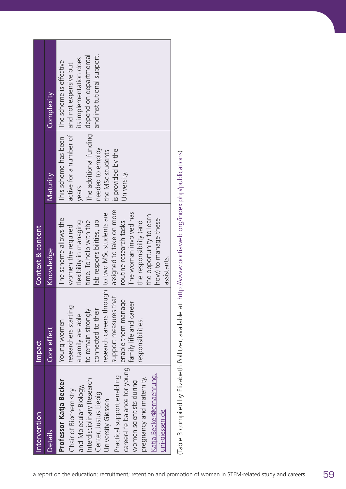| Maturity       | The additional funding<br>active for a number of<br>This scheme has been<br>needed to employ<br>is provided by the<br>the MSc students<br>University.<br>years.                                                                                                                                                                   |                                                                                                                                                                                                                     |                                                                                                          |
|----------------|-----------------------------------------------------------------------------------------------------------------------------------------------------------------------------------------------------------------------------------------------------------------------------------------------------------------------------------|---------------------------------------------------------------------------------------------------------------------------------------------------------------------------------------------------------------------|----------------------------------------------------------------------------------------------------------|
| Knowledge      | assigned to take on more<br>The woman involved has<br>how) to manage these<br>lab responsibilities, up<br>routine research tasks.<br>time. To help with the<br>the responsibility (and<br>flexibility in managing<br>women the required<br>assistants.                                                                            |                                                                                                                                                                                                                     |                                                                                                          |
| Core effect    | research careers through<br>support measures that<br>enable them manage<br>family life and career<br>researchers starting<br>connected to their<br>to remain strongly<br>a family are able<br>Young women<br>responsibilities                                                                                                     |                                                                                                                                                                                                                     |                                                                                                          |
| <b>Details</b> | career-life balance for young<br>Katja. Becker@ernaehrung.<br>Practical support enabling<br>pregnancy and maternity<br>Interdisciplinary Research<br>Professor Katja Becker<br>women scientists during<br>and Molecular Biology,<br>Chair of Biochemistry<br>Center, Justus Liebig<br>University Giessen<br><u>uni-giessen.de</u> |                                                                                                                                                                                                                     |                                                                                                          |
|                | Complexity                                                                                                                                                                                                                                                                                                                        | and institutional support.<br>depend on departmental<br>its implementation does<br>The scheme is effective<br>and not expensive but<br>to two MSc students are<br>the opportunity to learn<br>The scheme allows the | (Table 3 compiled by Elizabeth Pollitzer, available at: http://www.portiaweb.org/index.php/publications) |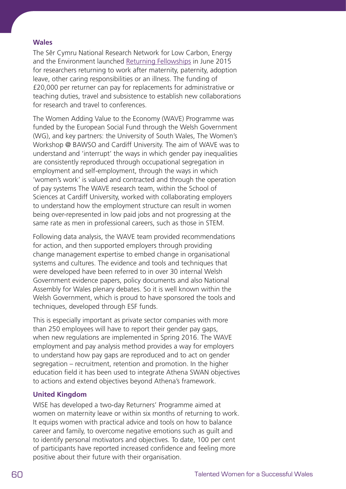## **Wales**

The Sêr Cymru National Research Network for Low Carbon, Energy and the Environment launched [Returning Fellowships](http://www.nrn-lcee.ac.uk/documents/NRN-LCEE_ReturningFellowships_CallDocument.pdf) in June 2015 for researchers returning to work after maternity, paternity, adoption leave, other caring responsibilities or an illness. The funding of £20,000 per returner can pay for replacements for administrative or teaching duties, travel and subsistence to establish new collaborations for research and travel to conferences.

The Women Adding Value to the Economy (WAVE) Programme was funded by the European Social Fund through the Welsh Government (WG), and key partners: the University of South Wales, The Women's Workshop @ BAWSO and Cardiff University. The aim of WAVE was to understand and 'interrupt' the ways in which gender pay inequalities are consistently reproduced through occupational segregation in employment and self-employment, through the ways in which 'women's work' is valued and contracted and through the operation of pay systems The WAVE research team, within the School of Sciences at Cardiff University, worked with collaborating employers to understand how the employment structure can result in women being over-represented in low paid jobs and not progressing at the same rate as men in professional careers, such as those in STEM.

Following data analysis, the WAVE team provided recommendations for action, and then supported employers through providing change management expertise to embed change in organisational systems and cultures. The evidence and tools and techniques that were developed have been referred to in over 30 internal Welsh Government evidence papers, policy documents and also National Assembly for Wales plenary debates. So it is well known within the Welsh Government, which is proud to have sponsored the tools and techniques, developed through ESF funds.

This is especially important as private sector companies with more than 250 employees will have to report their gender pay gaps, when new regulations are implemented in Spring 2016. The WAVE employment and pay analysis method provides a way for employers to understand how pay gaps are reproduced and to act on gender segregation – recruitment, retention and promotion. In the higher education field it has been used to integrate Athena SWAN objectives to actions and extend objectives beyond Athena's framework.

# **United Kingdom**

WISE has developed a two-day Returners' Programme aimed at women on maternity leave or within six months of returning to work. It equips women with practical advice and tools on how to balance career and family, to overcome negative emotions such as guilt and to identify personal motivators and objectives. To date, 100 per cent of participants have reported increased confidence and feeling more positive about their future with their organisation.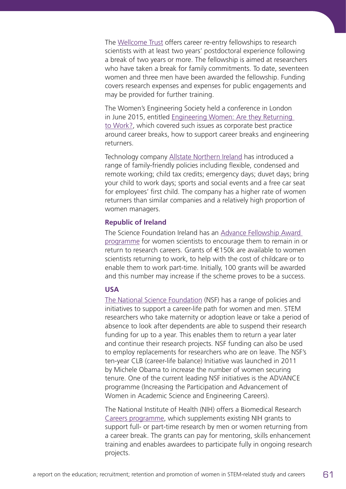The [Wellcome Trust](http://www.wellcome.ac.uk) offers career re-entry fellowships to research scientists with at least two years' postdoctoral experience following a break of two years or more. The fellowship is aimed at researchers who have taken a break for family commitments. To date, seventeen women and three men have been awarded the fellowship. Funding covers research expenses and expenses for public engagements and may be provided for further training.

The Women's Engineering Society held a conference in London in June 2015, entitled [Engineering Women: Are they Returning](http://www.wes.org.uk/returning)  [to Work?](http://www.wes.org.uk/returning), which covered such issues as corporate best practice around career breaks, how to support career breaks and engineering returners.

Technology company [Allstate Northern Ireland](https://www.allstate.com/northern-ireland/overview.aspx) has introduced a range of family-friendly policies including flexible, condensed and remote working; child tax credits; emergency days; duvet days; bring your child to work days; sports and social events and a free car seat for employees' first child. The company has a higher rate of women returners than similar companies and a relatively high proportion of women managers.

## **Republic of Ireland**

The Science Foundation Ireland has an [Advance Fellowship Award](http://www.sfi.ie)  [programme](http://www.sfi.ie) for women scientists to encourage them to remain in or return to research careers. Grants of €150k are available to women scientists returning to work, to help with the cost of childcare or to enable them to work part-time. Initially, 100 grants will be awarded and this number may increase if the scheme proves to be a success.

## **USA**

[The National Science Foundation](http://www.nsf.gov/) (NSF) has a range of policies and initiatives to support a career-life path for women and men. STEM researchers who take maternity or adoption leave or take a period of absence to look after dependents are able to suspend their research funding for up to a year. This enables them to return a year later and continue their research projects. NSF funding can also be used to employ replacements for researchers who are on leave. The NSF's ten-year CLB (career-life balance) Initiative was launched in 2011 by Michele Obama to increase the number of women securing tenure. One of the current leading NSF initiatives is the ADVANCE programme (Increasing the Participation and Advancement of Women in Academic Science and Engineering Careers).

The National Institute of Health (NIH) offers a Biomedical Research [Careers programme](http://orwh.od.nih.gov/career/reentry.asp), which supplements existing NIH grants to support full- or part-time research by men or women returning from a career break. The grants can pay for mentoring, skills enhancement training and enables awardees to participate fully in ongoing research projects.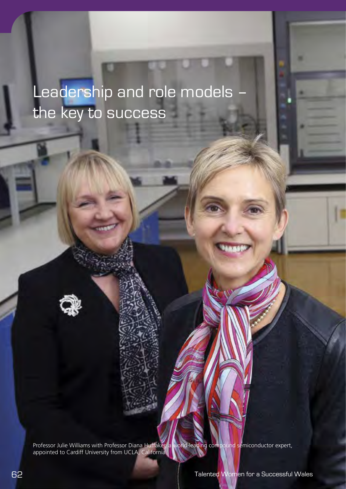Leadership and role models – the key to success

Professor Julie Williams with Professor Diana Huffaker, a world-leading compound semiconductor expert, appointed to Cardiff University from UCLA, California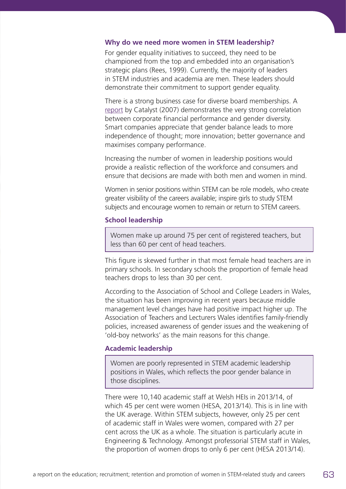#### **Why do we need more women in STEM leadership?**

For gender equality initiatives to succeed, they need to be championed from the top and embedded into an organisation's strategic plans (Rees, 1999). Currently, the majority of leaders in STEM industries and academia are men. These leaders should demonstrate their commitment to support gender equality.

There is a strong business case for diverse board memberships. A [report](http://catalyst.org/knowledge/bottom-line-corporate-performance-and-womens-representation-boards) by Catalyst (2007) demonstrates the very strong correlation between corporate financial performance and gender diversity. Smart companies appreciate that gender balance leads to more independence of thought; more innovation; better governance and maximises company performance.

Increasing the number of women in leadership positions would provide a realistic reflection of the workforce and consumers and ensure that decisions are made with both men and women in mind.

Women in senior positions within STEM can be role models, who create greater visibility of the careers available; inspire girls to study STEM subjects and encourage women to remain or return to STEM careers.

#### **School leadership**

Women make up around 75 per cent of registered teachers, but less than 60 per cent of head teachers.

This figure is skewed further in that most female head teachers are in primary schools. In secondary schools the proportion of female head teachers drops to less than 30 per cent.

According to the Association of School and College Leaders in Wales, the situation has been improving in recent years because middle management level changes have had positive impact higher up. The Association of Teachers and Lecturers Wales identifies family-friendly policies, increased awareness of gender issues and the weakening of 'old-boy networks' as the main reasons for this change.

#### **Academic leadership**

Women are poorly represented in STEM academic leadership positions in Wales, which reflects the poor gender balance in those disciplines.

There were 10,140 academic staff at Welsh HEIs in 2013/14, of which 45 per cent were women (HESA, 2013/14). This is in line with the UK average. Within STEM subjects, however, only 25 per cent of academic staff in Wales were women, compared with 27 per cent across the UK as a whole. The situation is particularly acute in Engineering & Technology. Amongst professorial STEM staff in Wales, the proportion of women drops to only 6 per cent (HESA 2013/14).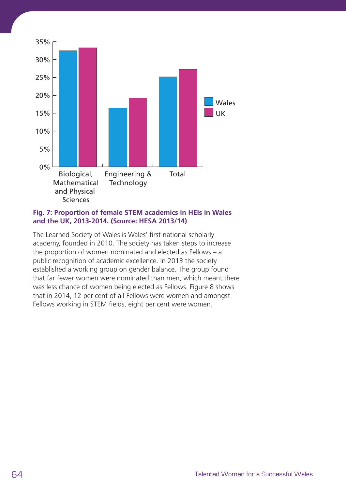

## **Fig. 7: Proportion of female STEM academics in HEIs in Wales and the UK, 2013-2014. (Source: HESA 2013/14)**

The Learned Society of Wales is Wales' first national scholarly academy, founded in 2010. The society has taken steps to increase the proportion of women nominated and elected as Fellows – a public recognition of academic excellence. In 2013 the society established a working group on gender balance. The group found that far fewer women were nominated than men, which meant there was less chance of women being elected as Fellows. Figure 8 shows that in 2014, 12 per cent of all Fellows were women and amongst Fellows working in STEM fields, eight per cent were women.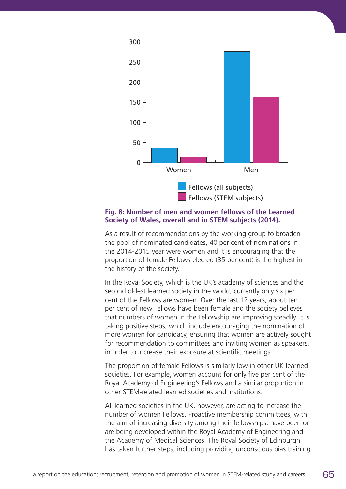

### **Fig. 8: Number of men and women fellows of the Learned Society of Wales, overall and in STEM subjects (2014).**

As a result of recommendations by the working group to broaden the pool of nominated candidates, 40 per cent of nominations in the 2014-2015 year were women and it is encouraging that the proportion of female Fellows elected (35 per cent) is the highest in the history of the society.

In the Royal Society, which is the UK's academy of sciences and the second oldest learned society in the world, currently only six per cent of the Fellows are women. Over the last 12 years, about ten per cent of new Fellows have been female and the society believes that numbers of women in the Fellowship are improving steadily. It is taking positive steps, which include encouraging the nomination of more women for candidacy, ensuring that women are actively sought for recommendation to committees and inviting women as speakers, in order to increase their exposure at scientific meetings.

The proportion of female Fellows is similarly low in other UK learned societies. For example, women account for only five per cent of the Royal Academy of Engineering's Fellows and a similar proportion in other STEM-related learned societies and institutions.

All learned societies in the UK, however, are acting to increase the number of women Fellows. Proactive membership committees, with the aim of increasing diversity among their fellowships, have been or are being developed within the Royal Academy of Engineering and the Academy of Medical Sciences. The Royal Society of Edinburgh has taken further steps, including providing unconscious bias training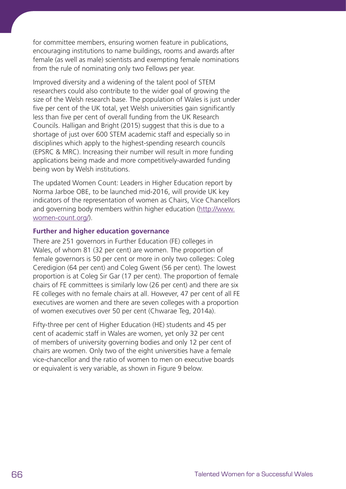for committee members, ensuring women feature in publications, encouraging institutions to name buildings, rooms and awards after female (as well as male) scientists and exempting female nominations from the rule of nominating only two Fellows per year.

Improved diversity and a widening of the talent pool of STEM researchers could also contribute to the wider goal of growing the size of the Welsh research base. The population of Wales is just under five per cent of the UK total, yet Welsh universities gain significantly less than five per cent of overall funding from the UK Research Councils. Halligan and Bright (2015) suggest that this is due to a shortage of just over 600 STEM academic staff and especially so in disciplines which apply to the highest-spending research councils (EPSRC & MRC). Increasing their number will result in more funding applications being made and more competitively-awarded funding being won by Welsh institutions.

The updated Women Count: Leaders in Higher Education report by Norma Jarboe OBE, to be launched mid-2016, will provide UK key indicators of the representation of women as Chairs, Vice Chancellors and governing body members within higher education [\(http://www.](http://www.women-count.org/) [women-count.org/\)](http://www.women-count.org/).

## **Further and higher education governance**

There are 251 governors in Further Education (FE) colleges in Wales, of whom 81 (32 per cent) are women. The proportion of female governors is 50 per cent or more in only two colleges: Coleg Ceredigion (64 per cent) and Coleg Gwent (56 per cent). The lowest proportion is at Coleg Sir Gar (17 per cent). The proportion of female chairs of FE committees is similarly low (26 per cent) and there are six FE colleges with no female chairs at all. However, 47 per cent of all FE executives are women and there are seven colleges with a proportion of women executives over 50 per cent (Chwarae Teg, 2014a).

Fifty-three per cent of Higher Education (HE) students and 45 per cent of academic staff in Wales are women, yet only 32 per cent of members of university governing bodies and only 12 per cent of chairs are women. Only two of the eight universities have a female vice-chancellor and the ratio of women to men on executive boards or equivalent is very variable, as shown in Figure 9 below.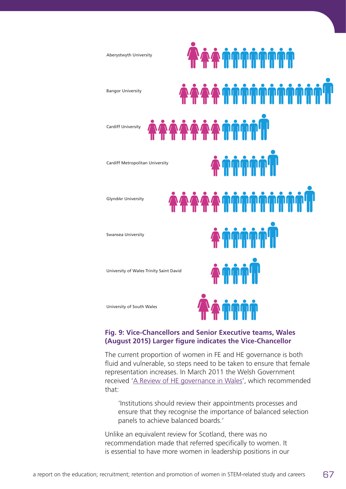

#### **Fig. 4: Vice-Chancellors and Senior Executive teams, Wales (August 2015) (August 2015) Larger figure indicates the Vice-Chancellor Larger figure indicates the Vice-Chancellor Fig. 9: Vice-Chancellors and Senior Executive teams, Wales**

The current proportion of women in FE and HE governance is both fluid and vulnerable, so steps need to be taken to ensure that female representation increases. In March 2011 the Welsh Government received ['A Review of HE governance in Wales'](http://gov.wales/docs/dcells/publications/110317hegovreviewen.pdf), which recommended that:

 'Institutions should review their appointments processes and ensure that they recognise the importance of balanced selection panels to achieve balanced boards.'

Unlike an equivalent review for Scotland, there was no recommendation made that referred specifically to women. It is essential to have more women in leadership positions in our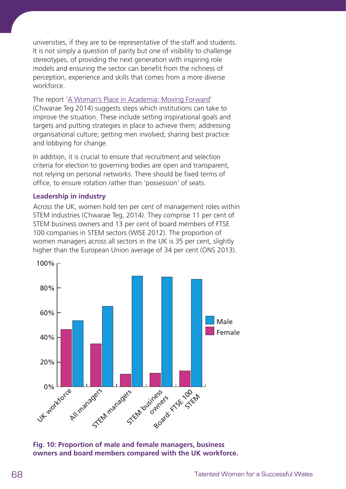universities, if they are to be representative of the staff and students. It is not simply a question of parity but one of visibility to challenge stereotypes, of providing the next generation with inspiring role models and ensuring the sector can benefit from the richness of perception, experience and skills that comes from a more diverse workforce.

The report ['A Woman's Place in Academia: Moving Forward](http://www.cteg.org.uk/wp-content/uploads/2015/01/a-womans-place-in-academia-moving-forward-v2-2-DT.pdf)' (Chwarae Teg 2014) suggests steps which institutions can take to improve the situation. These include setting inspirational goals and targets and putting strategies in place to achieve them; addressing organisational culture; getting men involved; sharing best practice and lobbying for change.

In addition, it is crucial to ensure that recruitment and selection criteria for election to governing bodies are open and transparent, not relying on personal networks. There should be fixed terms of office, to ensure rotation rather than 'possession' of seats.

## **Leadership in industry**

Across the UK, women hold ten per cent of management roles within STEM industries (Chwarae Teg, 2014). They comprise 11 per cent of STEM business owners and 13 per cent of board members of FTSE 100 companies in STEM sectors (WISE 2012). The proportion of women managers across all sectors in the UK is 35 per cent, slightly higher than the European Union average of 34 per cent (ONS 2013).



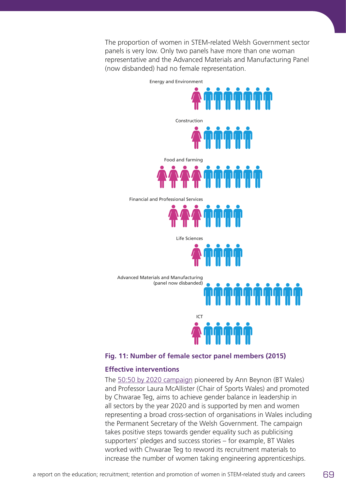The proportion of women in STEM-related Welsh Government sector panels is very low. Only two panels have more than one woman representative and the Advanced Materials and Manufacturing Panel (now disbanded) had no female representation.

Energy and Environment



Financial and Professional Services



Life Sciences



Advanced Materials and Manufacturing (panel now disbanded)

**Fig. 11: Number of female sector panel members (2015)**

ICT

## **Effective interventions**

The [50:50 by 2020 campaign](http://5050by2020.org.uk) pioneered by Ann Beynon (BT Wales) and Professor Laura McAllister (Chair of Sports Wales) and promoted by Chwarae Teg, aims to achieve gender balance in leadership in all sectors by the year 2020 and is supported by men and women representing a broad cross-section of organisations in Wales including the Permanent Secretary of the Welsh Government. The campaign takes positive steps towards gender equality such as publicising supporters' pledges and success stories – for example, BT Wales worked with Chwarae Teg to reword its recruitment materials to increase the number of women taking engineering apprenticeships.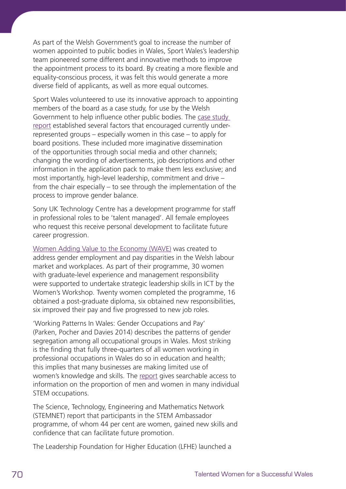As part of the Welsh Government's goal to increase the number of women appointed to public bodies in Wales, Sport Wales's leadership team pioneered some different and innovative methods to improve the appointment process to its board. By creating a more flexible and equality-conscious process, it was felt this would generate a more diverse field of applicants, as well as more equal outcomes.

Sport Wales volunteered to use its innovative approach to appointing members of the board as a case study, for use by the Welsh Government to help influence other public bodies. The [case study](http://gov.wales/docs/caecd/publications/121219sportwalespublicappointmentscasestudyreport.pdf)  [report](http://gov.wales/docs/caecd/publications/121219sportwalespublicappointmentscasestudyreport.pdf) established several factors that encouraged currently underrepresented groups – especially women in this case – to apply for board positions. These included more imaginative dissemination of the opportunities through social media and other channels; changing the wording of advertisements, job descriptions and other information in the application pack to make them less exclusive; and most importantly, high-level leadership, commitment and drive – from the chair especially – to see through the implementation of the process to improve gender balance.

Sony UK Technology Centre has a development programme for staff in professional roles to be 'talent managed'. All female employees who request this receive personal development to facilitate future career progression.

[Women Adding Value to the Economy \(WAVE\)](http://www.wavewales.co.uk) was created to address gender employment and pay disparities in the Welsh labour market and workplaces. As part of their programme, 30 women with graduate-level experience and management responsibility were supported to undertake strategic leadership skills in ICT by the Women's Workshop. Twenty women completed the programme, 16 obtained a post-graduate diploma, six obtained new responsibilities, six improved their pay and five progressed to new job roles.

'Working Patterns In Wales: Gender Occupations and Pay' (Parken, Pocher and Davies 2014) describes the patterns of gender segregation among all occupational groups in Wales. Most striking is the finding that fully three-quarters of all women working in professional occupations in Wales do so in education and health; this implies that many businesses are making limited use of women's knowledge and skills. The [report](http://www.cardiff.ac.uk/__data/assets/pdf_file/0014/104603/Working-Patterns-In-Wales.pdf) gives searchable access to information on the proportion of men and women in many individual STEM occupations.

The Science, Technology, Engineering and Mathematics Network (STEMNET) report that participants in the STEM Ambassador programme, of whom 44 per cent are women, gained new skills and confidence that can facilitate future promotion.

The Leadership Foundation for Higher Education (LFHE) launched a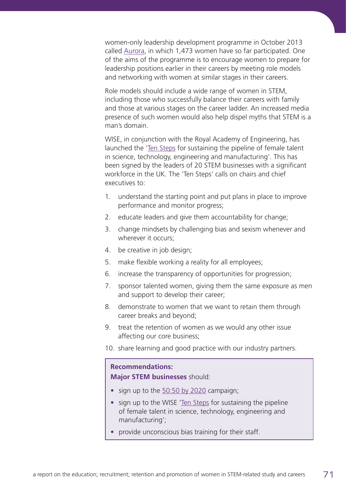women-only leadership development programme in October 2013 called [Aurora](http://www.lfhe.ac.uk/download.cfm/docid/82800690-3635-46E0-9DB901AD784B4BCB), in which 1,473 women have so far participated. One of the aims of the programme is to encourage women to prepare for leadership positions earlier in their careers by meeting role models and networking with women at similar stages in their careers.

Role models should include a wide range of women in STEM, including those who successfully balance their careers with family and those at various stages on the career ladder. An increased media presence of such women would also help dispel myths that STEM is a man's domain.

WISE, in conjunction with the Royal Academy of Engineering, has launched the ['Ten Steps](https://www.wisecampaign.org.uk/consultancy/industry-led-ten-steps/10-steps) for sustaining the pipeline of female talent in science, technology, engineering and manufacturing'. This has been signed by the leaders of 20 STEM businesses with a significant workforce in the UK. The 'Ten Steps' calls on chairs and chief executives to:

- 1. understand the starting point and put plans in place to improve performance and monitor progress;
- 2. educate leaders and give them accountability for change;
- 3. change mindsets by challenging bias and sexism whenever and wherever it occurs;
- 4. be creative in job design;
- 5. make flexible working a reality for all employees;
- 6. increase the transparency of opportunities for progression;
- 7. sponsor talented women, giving them the same exposure as men and support to develop their career;
- 8. demonstrate to women that we want to retain them through career breaks and beyond;
- 9. treat the retention of women as we would any other issue affecting our core business;
- 10. share learning and good practice with our industry partners.

### **Recommendations: Major STEM businesses** should:

- **•** sign up to the [50:50 by 2020](http://5050by2020.org.uk/) campaign;
- **•** sign up to the WISE '[Ten Steps](https://www.wisecampaign.org.uk/consultancy/industry-led-ten-steps/10-steps) for sustaining the pipeline of female talent in science, technology, engineering and manufacturing';
- **•** provide unconscious bias training for their staff.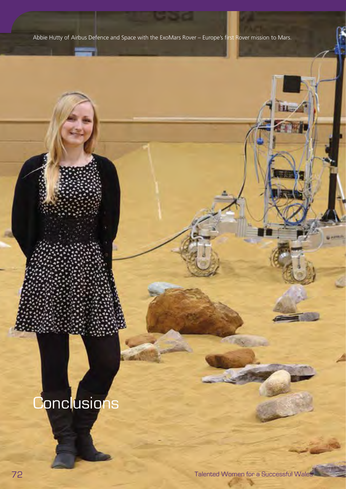Abbie Hutty of Airbus Defence and Space with the ExoMars Rover – Europe's first Rover mission to Mars.

# **Conclusions**

**Hold**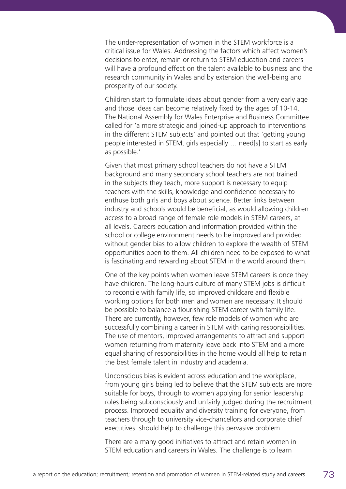The under-representation of women in the STEM workforce is a critical issue for Wales. Addressing the factors which affect women's decisions to enter, remain or return to STEM education and careers will have a profound effect on the talent available to business and the research community in Wales and by extension the well-being and prosperity of our society.

Children start to formulate ideas about gender from a very early age and those ideas can become relatively fixed by the ages of 10-14. The National Assembly for Wales Enterprise and Business Committee called for 'a more strategic and joined-up approach to interventions in the different STEM subjects' and pointed out that 'getting young people interested in STEM, girls especially … need[s] to start as early as possible.'

Given that most primary school teachers do not have a STEM background and many secondary school teachers are not trained in the subjects they teach, more support is necessary to equip teachers with the skills, knowledge and confidence necessary to enthuse both girls and boys about science. Better links between industry and schools would be beneficial, as would allowing children access to a broad range of female role models in STEM careers, at all levels. Careers education and information provided within the school or college environment needs to be improved and provided without gender bias to allow children to explore the wealth of STEM opportunities open to them. All children need to be exposed to what is fascinating and rewarding about STEM in the world around them.

One of the key points when women leave STEM careers is once they have children. The long-hours culture of many STEM jobs is difficult to reconcile with family life, so improved childcare and flexible working options for both men and women are necessary. It should be possible to balance a flourishing STEM career with family life. There are currently, however, few role models of women who are successfully combining a career in STEM with caring responsibilities. The use of mentors, improved arrangements to attract and support women returning from maternity leave back into STEM and a more equal sharing of responsibilities in the home would all help to retain the best female talent in industry and academia.

Unconscious bias is evident across education and the workplace, from young girls being led to believe that the STEM subjects are more suitable for boys, through to women applying for senior leadership roles being subconsciously and unfairly judged during the recruitment process. Improved equality and diversity training for everyone, from teachers through to university vice-chancellors and corporate chief executives, should help to challenge this pervasive problem.

There are a many good initiatives to attract and retain women in STEM education and careers in Wales. The challenge is to learn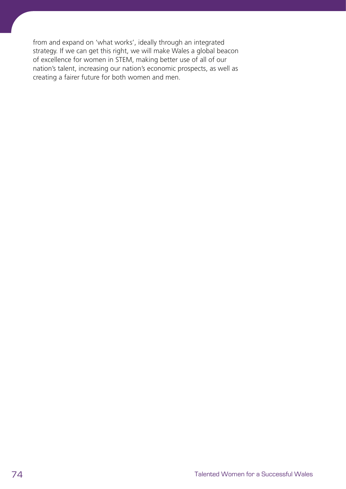from and expand on 'what works', ideally through an integrated strategy. If we can get this right, we will make Wales a global beacon of excellence for women in STEM, making better use of all of our nation's talent, increasing our nation's economic prospects, as well as creating a fairer future for both women and men.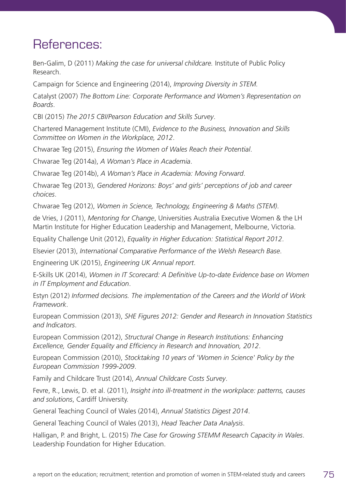## References:

Ben-Galim, D (2011) *Making the case for universal childcare.* Institute of Public Policy Research.

Campaign for Science and Engineering (2014), *Improving Diversity in STEM.*

Catalyst (2007) *The Bottom Line: Corporate Performance and Women's Representation on Boards*.

CBI (2015) *The 2015 CBI/Pearson Education and Skills Survey*.

Chartered Management Institute (CMI), *Evidence to the Business, Innovation and Skills Committee on Women in the Workplace, 2012*.

Chwarae Teg (2015), *Ensuring the Women of Wales Reach their Potential*.

Chwarae Teg (2014a), *A Woman's Place in Academia*.

Chwarae Teg (2014b), *A Woman's Place in Academia: Moving Forward*.

Chwarae Teg (2013), *Gendered Horizons: Boys' and girls' perceptions of job and career choices*.

Chwarae Teg (2012), *Women in Science, Technology, Engineering & Maths (STEM)*.

de Vries, J (2011), *Mentoring for Change*, Universities Australia Executive Women & the LH Martin Institute for Higher Education Leadership and Management, Melbourne, Victoria.

Equality Challenge Unit (2012), *Equality in Higher Education: Statistical Report 2012*.

Elsevier (2013), *International Comparative Performance of the Welsh Research Base*.

Engineering UK (2015), *Engineering UK Annual report*.

E-Skills UK (2014), *Women in IT Scorecard: A Definitive Up-to-date Evidence base on Women in IT Employment and Education*.

Estyn (2012) *Informed decisions. The implementation of the Careers and the World of Work Framework*.

European Commission (2013), *SHE Figures 2012: Gender and Research in Innovation Statistics and Indicators*.

European Commission (2012), *Structural Change in Research Institutions: Enhancing Excellence, Gender Equality and Efficiency in Research and Innovation, 2012*.

European Commission (2010), *Stocktaking 10 years of 'Women in Science' Policy by the European Commission 1999-2009*.

Family and Childcare Trust (2014), *Annual Childcare Costs Survey*.

Fevre, R., Lewis, D. et al. (2011), *Insight into ill-treatment in the workplace: patterns, causes and solutions*, Cardiff University.

General Teaching Council of Wales (2014), *Annual Statistics Digest 2014*.

General Teaching Council of Wales (2013), *Head Teacher Data Analysis*.

Halligan, P. and Bright, L. (2015) *The Case for Growing STEMM Research Capacity in Wales*. Leadership Foundation for Higher Education.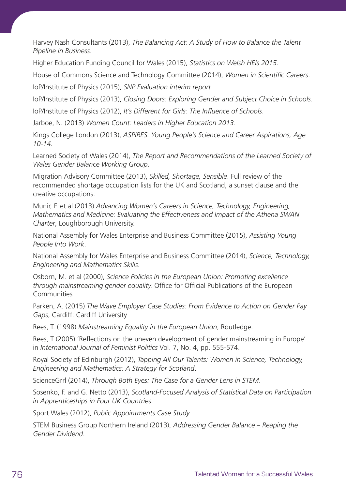Harvey Nash Consultants (2013), *The Balancing Act: A Study of How to Balance the Talent Pipeline in Business*.

Higher Education Funding Council for Wales (2015), *Statistics on Welsh HEIs 2015*.

House of Commons Science and Technology Committee (2014), *Women in Scientific Careers*. IoP/Institute of Physics (2015), *SNP Evaluation interim report*.

IoP/Institute of Physics (2013), *Closing Doors: Exploring Gender and Subject Choice in Schools*.

IoP/Institute of Physics (2012), *It's Different for Girls: The Influence of Schools*.

Jarboe, N. (2013) *Women Count: Leaders in Higher Education 2013*.

Kings College London (2013), *ASPIRES: Young People's Science and Career Aspirations, Age 10-14*.

Learned Society of Wales (2014), *The Report and Recommendations of the Learned Society of Wales Gender Balance Working Group*.

Migration Advisory Committee (2013), *Skilled, Shortage, Sensible*. Full review of the recommended shortage occupation lists for the UK and Scotland, a sunset clause and the creative occupations.

Munir, F. et al (2013) *Advancing Women's Careers in Science, Technology, Engineering, Mathematics and Medicine: Evaluating the Effectiveness and Impact of the Athena SWAN Charter*, Loughborough University.

National Assembly for Wales Enterprise and Business Committee (2015), *Assisting Young People Into Work*.

National Assembly for Wales Enterprise and Business Committee (2014), *Science, Technology, Engineering and Mathematics Skills*.

Osborn, M. et al (2000), *Science Policies in the European Union: Promoting excellence through mainstreaming gender equality.* Office for Official Publications of the European Communities.

Parken, A. (2015) *The Wave Employer Case Studies: From Evidence to Action on Gender Pay Gaps*, Cardiff: Cardiff University

Rees, T. (1998) *Mainstreaming Equality in the European Union*, Routledge.

Rees, T (2005) 'Reflections on the uneven development of gender mainstreaming in Europe' in *International Journal of Feminist Politics* Vol. 7, No. 4, pp. 555-574.

Royal Society of Edinburgh (2012), *Tapping All Our Talents: Women in Science, Technology, Engineering and Mathematics: A Strategy for Scotland*.

ScienceGrrl (2014), *Through Both Eyes: The Case for a Gender Lens in STEM*.

Sosenko, F. and G. Netto (2013), *Scotland-Focused Analysis of Statistical Data on Participation in Apprenticeships in Four UK Countries*.

Sport Wales (2012), *Public Appointments Case Study*.

STEM Business Group Northern Ireland (2013), *Addressing Gender Balance – Reaping the Gender Dividend*.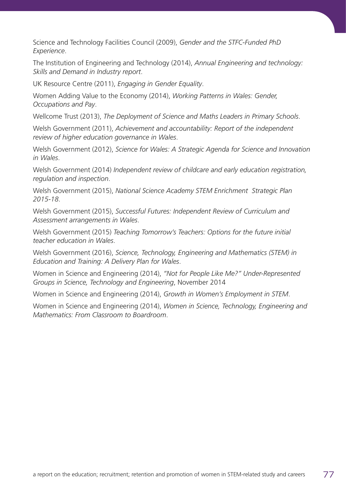Science and Technology Facilities Council (2009), *Gender and the STFC-Funded PhD Experience*.

The Institution of Engineering and Technology (2014), *Annual Engineering and technology: Skills and Demand in Industry report*.

UK Resource Centre (2011), *Engaging in Gender Equality*.

Women Adding Value to the Economy (2014), *Working Patterns in Wales: Gender, Occupations and Pay*.

Wellcome Trust (2013), *The Deployment of Science and Maths Leaders in Primary Schools*.

Welsh Government (2011), *Achievement and accountability: Report of the independent review of higher education governance in Wales*.

Welsh Government (2012), *Science for Wales: A Strategic Agenda for Science and Innovation in Wales*.

Welsh Government (2014) *Independent review of childcare and early education registration, regulation and inspection*.

Welsh Government (2015), *National Science Academy STEM Enrichment Strategic Plan 2015-18*.

Welsh Government (2015), *Successful Futures: Independent Review of Curriculum and Assessment arrangements in Wales*.

Welsh Government (2015) *Teaching Tomorrow's Teachers: Options for the future initial teacher education in Wales*.

Welsh Government (2016), *Science, Technology, Engineering and Mathematics (STEM) in Education and Training: A Delivery Plan for Wales*.

Women in Science and Engineering (2014), *"Not for People Like Me?" Under-Represented Groups in Science, Technology and Engineering*, November 2014

Women in Science and Engineering (2014), *Growth in Women's Employment in STEM*.

Women in Science and Engineering (2014), *Women in Science, Technology, Engineering and Mathematics: From Classroom to Boardroom*.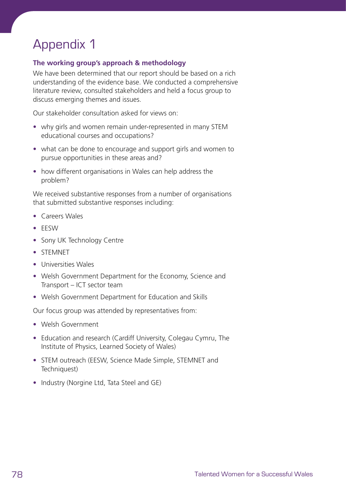# Appendix 1

### **The working group's approach & methodology**

We have been determined that our report should be based on a rich understanding of the evidence base. We conducted a comprehensive literature review, consulted stakeholders and held a focus group to discuss emerging themes and issues.

Our stakeholder consultation asked for views on:

- **•** why girls and women remain under-represented in many STEM educational courses and occupations?
- **•** what can be done to encourage and support girls and women to pursue opportunities in these areas and?
- **•** how different organisations in Wales can help address the problem?

We received substantive responses from a number of organisations that submitted substantive responses including:

- **•** Careers Wales
- **•** EESW
- **•** Sony UK Technology Centre
- **•** STEMNET
- **•** Universities Wales
- **•** Welsh Government Department for the Economy, Science and Transport – ICT sector team
- **•** Welsh Government Department for Education and Skills

Our focus group was attended by representatives from:

- **•** Welsh Government
- **•** Education and research (Cardiff University, Colegau Cymru, The Institute of Physics, Learned Society of Wales)
- **•** STEM outreach (EESW, Science Made Simple, STEMNET and Techniquest)
- **•** Industry (Norgine Ltd, Tata Steel and GE)